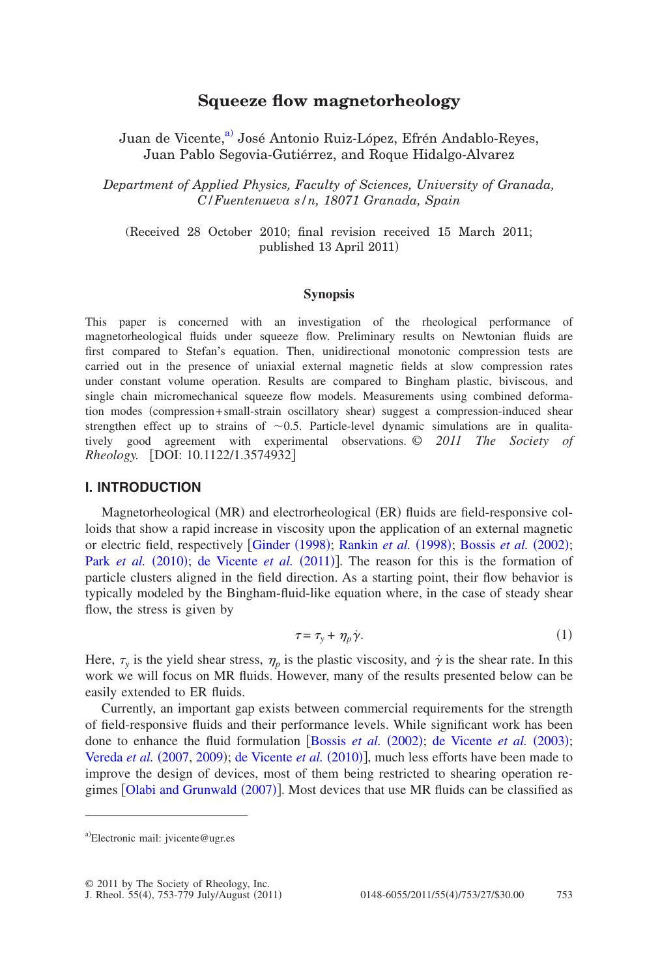# **Squeeze flow magnetorheology**

Juan de Vicente,<sup>a)</sup> José Antonio Ruiz-López, Efrén Andablo-Reyes, Juan Pablo Segovia-Gutiérrez, and Roque Hidalgo-Alvarez

*Department of Applied Physics, Faculty of Sciences, University of Granada, C/Fuentenueva s/n, 18071 Granada, Spain*

(Received 28 October 2010; final revision received 15 March 2011; published 13 April 2011

### **Synopsis**

This paper is concerned with an investigation of the rheological performance of magnetorheological fluids under squeeze flow. Preliminary results on Newtonian fluids are first compared to Stefan's equation. Then, unidirectional monotonic compression tests are carried out in the presence of uniaxial external magnetic fields at slow compression rates under constant volume operation. Results are compared to Bingham plastic, biviscous, and single chain micromechanical squeeze flow models. Measurements using combined deformation modes (compression+small-strain oscillatory shear) suggest a compression-induced shear strengthen effect up to strains of  $\sim 0.5$ . Particle-level dynamic simulations are in qualitatively good agreement with experimental observations. © *2011 The Society of Rheology.* **DOI:** 10.1122/1.3574932

## **I. INTRODUCTION**

Magnetorheological (MR) and electrorheological (ER) fluids are field-responsive colloids that show a rapid increa[se in viscosity u](#page-24-0)[pon the application of](#page-25-0) [an external magnetic](#page-23-0) [or electric field, res](#page-25-1)pectively [Ginder (1998); Rankin *et al.* (1998); Bossis *et al.* (2002); Park *et al.* (2010); [de](#page-23-1) [Vicente](#page-23-1) *et al.* (2011)]. The reason for this is the formation of particle clusters aligned in the field direction. As a starting point, their flow behavior is typically modeled by the Bingham-fluid-like equation where, in the case of steady shear flow, the stress is given by

$$
\tau = \tau_y + \eta_p \dot{\gamma}.\tag{1}
$$

Here,  $\tau_y$  is the yield shear stress,  $\eta_p$  is the plastic viscosity, and  $\dot{\gamma}$  is the shear rate. In this work we will focus on MR fluids. However, many of the results presented below can be easily extended to ER fluids.

<span id="page-0-0"></span>Currently, an important gap exists between commercial requirements for the strength of field-responsive fluids and their perfo[rmance levels. While](#page-23-0) [significant work has been](#page-23-2) [done to enhance th](#page-26-0)e fluid [formulation](#page-24-1) [Bossis *et al.* (2002); de Vicente *et al.* (2003); Vereda et al. (2007, [2009](#page-26-1)); de Vicente et al. (2010)], much less efforts have been made to improv[e the design of devices, mo](#page-25-2)st of them being restricted to shearing operation regimes [Olabi and Grunwald (2007)]. Most devices that use MR fluids can be classified as

a)Electronic mail: jvicente@ugr.es

<sup>© 2011</sup> by The Society of Rheology, Inc.

J. Rheol. 55(4), 753-779 July/August (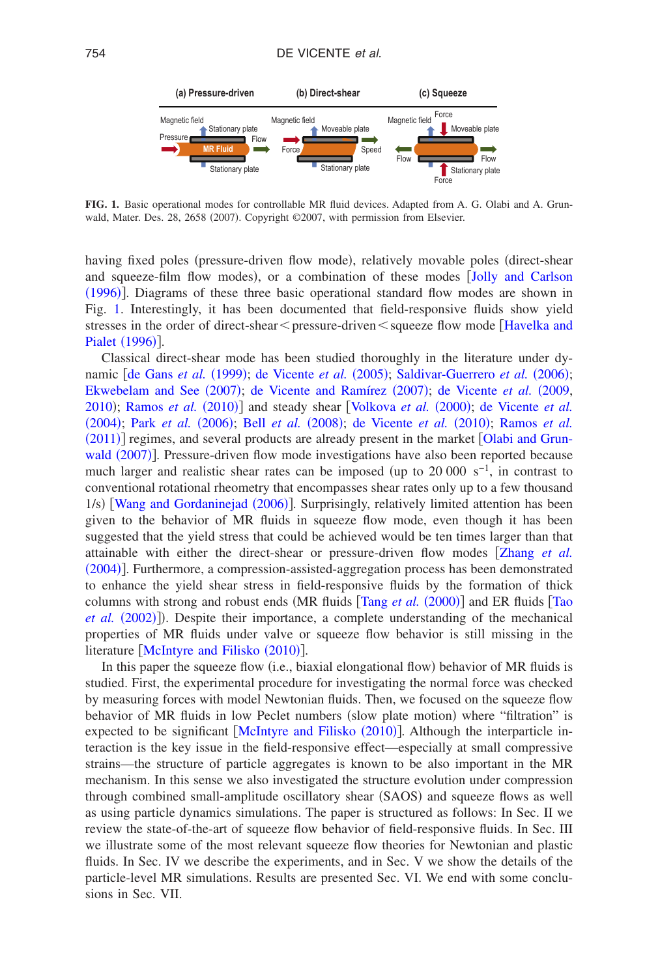<span id="page-1-0"></span>

**FIG. 1.** Basic operational modes for controllable MR fluid devices. Adapted from A. G. Olabi and A. Grunwald, Mater. Des. 28, 2658 (2007). Copyright ©2007, with permission from Elsevier.

having fixed poles (pressure-driven flow mode), relatively movable poles (direct-shear [and sq](#page-24-2)ueeze-film flow modes, or a combination of these modes [Jolly](#page-24-2) [and](#page-24-2) [Carlson](#page-24-2) (1996)]. Diagrams of these three basic operational standard flow modes are shown in Fig. [1.](#page-1-0) Interestingly, it has been documented that field-responsive fluid[s show yield](#page-24-3) [stresses in the](#page-24-3) order of direct-shear < pressure-driven < squeeze flow mode [Havelka and Pialet (1996)].

Clas[sical direct-shear mod](#page-23-3)[e has been studied thoro](#page-23-4)[ughly in the literature under dy](#page-25-3)namic [de Gans *et al.* (1999); de Vicente *et al.* (2005); Saldivar-Guerrero *et al.* (2006); [Ekwebelam](#page-24-4)[and](#page-24-5) [See](#page-24-4) (2007); [de](#page-24-6) [Vicente](#page-24-6) and [Ramírez](#page-24-5) (2007); de Vicente et al. (2009, [2010](#page-24-1)); [Ramos](#page-25-5)*et al.* (2010)] [and steady shear](#page-23-6) [[Volkova](#page-26-2) *et al.* (2000); [de](#page-23-5) [Vicente](#page-23-5) *et al.* ([2004](#page-23-5)); Park *et al.* (2006); Bell *et al.* (2008); [de](#page-24-1) [Vicente](#page-24-1) *et al.* (2010); Ramos *et al.* ([2011](#page-25-6))] regimes, and several products are already present in the market [[Olabi](#page-25-2) [and](#page-25-2) [Grun-](#page-25-2)wald ([2007](#page-25-2))]. Pressure-driven flow mode investigations have also been reported because much larger and realistic shear rates can be imposed (up to 20 000 s<sup>-1</sup>, in contrast to conv[entional rotational rheometry that](#page-26-3) encompasses shear rates only up to a few thousand 1/s) [Wang and Gordaninejad (2006)]. Surprisingly, relatively limited attention has been given to the behavior of MR fluids in squeeze flow mode, even though it has been suggested that the yield stress that could be achieved would be ten times l[arger than that](#page-26-4) [attainab](#page-26-4)le with either the direct-shear or pressure-driven flow modes Zhang *et al.* (2004)]. Furthermore, a compression-assisted-aggregation process has been demonstrated to enhance the yield shear stress in field-respo[nsive fluids by the](#page-26-5) formation of thick [columns with](#page-26-6) strong and robust ends (MR fluids [Tang et al. (2000)] and ER fluids [[Tao](#page-26-6) et al. (2002)]). Despite their importance, a complete understanding of the mechanical properties [of MR fluids under valve o](#page-25-7)r squeeze flow behavior is still missing in the literature [McIntyre and Filisko (2010)].

In this paper the squeeze flow (i.e., biaxial elongational flow) behavior of MR fluids is studied. First, the experimental procedure for investigating the normal force was checked by measuring forces with model Newtonian fluids. Then, we focused on the squeeze flow behavior of MR fluids in low Peclet numbers (slow plate motion) where "filtration" is expected to be significant [[McIntyre](#page-25-7) [and](#page-25-7) [Filisko](#page-25-7) (2010)]. Although the interparticle interaction is the key issue in the field-responsive effect—especially at small compressive strains—the structure of particle aggregates is known to be also important in the MR mechanism. In this sense we also investigated the structure evolution under compression through combined small-amplitude oscillatory shear (SAOS) and squeeze flows as well as using particle dynamics simulations. The paper is structured as follows: In Sec. II we review the state-of-the-art of squeeze flow behavior of field-responsive fluids. In Sec. III we illustrate some of the most relevant squeeze flow theories for Newtonian and plastic fluids. In Sec. IV we describe the experiments, and in Sec. V we show the details of the particle-level MR simulations. Results are presented Sec. VI. We end with some conclusions in Sec. VII.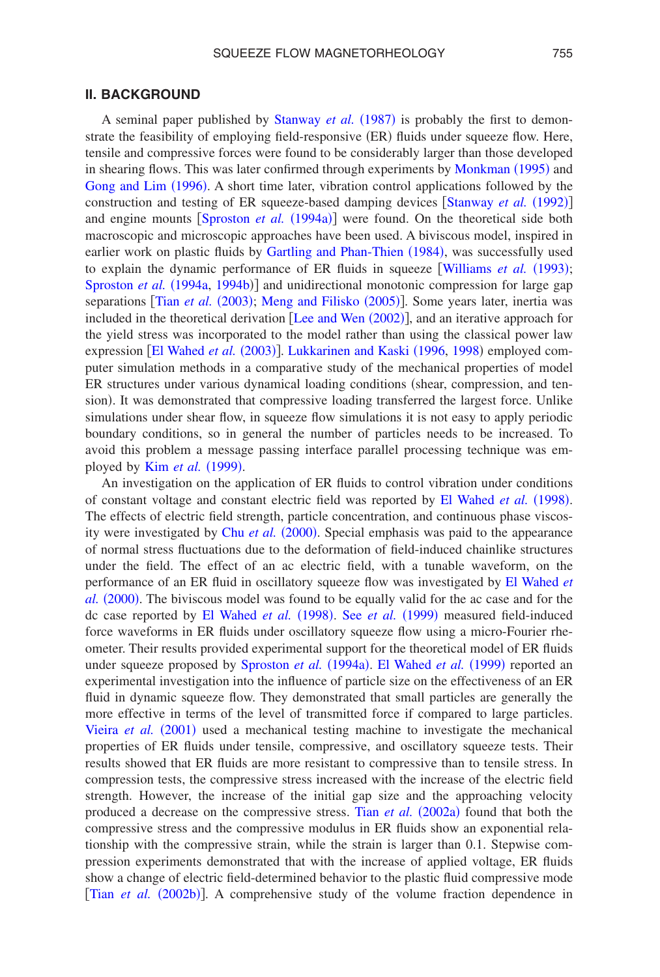## **II. BACKGROUND**

A seminal paper published by [Stanway](#page-25-8) et al. (1987) is probably the first to demonstrate the feasibility of employing field-responsive (ER) fluids under squeeze flow. Here, tensile and compressive forces were found to be considerably large[r than those develo](#page-25-9)ped [in shearing flows. This](#page-24-7) was later confirmed through experiments by Monkman (1995) and Gong and Lim (1996). A short time later, vibration control appli[cations followed by the](#page-25-10) construction and test[ing of ER squeeze-based](#page-25-11) damping devices [Stanway et al. (1992)] and engine mounts [Sproston *et al.* (1994a)] were found. On the theoretical side both macroscopic and microscopic ap[proaches have been used. A bivisc](#page-24-8)ous model, inspired in earlier work on plastic fluids by Gartling and Phan-Thien (1984)[, was successfully used](#page-26-7) [to explain the dynami](#page-25-11)c performance of ER fluids in squeeze [Williams et al. (1993); Sproston et al. (1994a, [1994b](#page-25-12))] [and unidirectional monoto](#page-25-13)nic compression for large gap separations [Tian *[et](#page-26-8) [al.](#page-26-8)* (2003); Meng and Filisko (2005)]. Some years later, inertia was included in the theoretical derivation [[Lee](#page-24-9) [and](#page-24-9) [Wen](#page-24-9) (2002)], and an iterative approach for the yield st[ress was incorporated to](#page-24-10) [the model rather than using t](#page-25-14)[he clas](#page-25-15)sical power law expression [El Wahed *et al.* (2003)]. Lukkarinen and Kaski (1996, 1998) employed computer simulation methods in a comparative study of the mechanical properties of model ER structures under various dynamical loading conditions (shear, compression, and tension). It was demonstrated that compressive loading transferred the largest force. Unlike simulations under shear flow, in squeeze flow simulations it is not easy to apply periodic boundary conditions, so in general the number of particles needs to be increased. To avoid this [problem a messag](#page-24-11)e passing interface parallel processing technique was employed by **Kim** et al. (1999).

An investigation on the application of ER fluids to control v[ibration under conditions](#page-24-12) of constant voltage and constant electric field was reported by El Wahed et al. (1998). The effects of electric fi[eld strength, particl](#page-23-7)e concentration, and continuous phase viscosity were investigated by Chu et al. (2000). Special emphasis was paid to the appearance of normal stress fluctuations due to the deformation of field-induced chainlike structures under the field. The effect of an ac electric field, with a tunable wave[form, on the](#page-24-13) [performan](#page-24-13)ce of an ER fluid in oscillatory squeeze flow was investigated by El Wahed *et* al. (2000). The bivis[cous model was found to](#page-24-12) [be equally valid fo](#page-25-16)r the ac case and for the dc case reported by El Wahed et al. (1998). See et al. (1999) measured field-induced force waveforms in ER fluids under oscillatory squeeze flow using a micro-Fourier rheometer. Their results provid[ed experimental support f](#page-25-11)[or the theoretical model](#page-24-14) of ER fluids under squeeze proposed by Sproston et al. (1994a). El Wahed et al. (1999) reported an experimental investigation into the influence of particle size on the effectiveness of an ER fluid in dynamic squeeze flow. They demonstrated that small particles are generally the [more effective in ter](#page-26-9)ms of the level of transmitted force if compared to large particles. Vieira et al. (2001) used a mechanical testing machine to investigate the mechanical properties of ER fluids under tensile, compressive, and oscillatory squeeze tests. Their results showed that ER fluids are more resistant to compressive than to tensile stress. In compression tests, the compressive stress increased with the increase of the electric field strength. However, the increase of the initial [gap size and the a](#page-26-10)pproaching velocity produced a decrease on the compressive stress. Tian et al. (2002a) found that both the compressive stress and the compressive modulus in ER fluids show an exponential relationship with the compressive strain, while the strain is larger than 0.1. Stepwise compression experiments demonstrated that with the increase of applied voltage, ER fluids [show a change of elec](#page-26-11)tric field-determined behavior to the plastic fluid compressive mode [Tian *et al.* (2002b)]. A comprehensive study of the volume fraction dependence in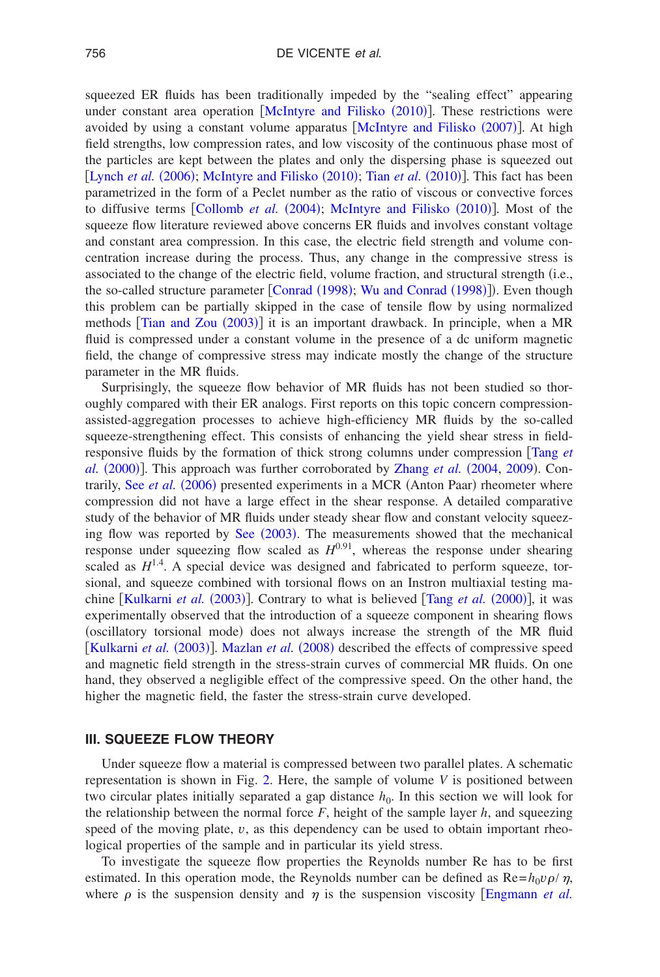squeezed ER fluids has been t[raditionally impeded by the "](#page-25-7)sealing effect" appearing under constant area operation [McIntyre and Filisko (2010)]. These restrictions were avoided by using a constant volume apparatus [[McIntyre](#page-25-17) [and](#page-25-17) [Filisko](#page-25-17) (2007)]. At high field strengths, low compression rates, and low viscosity of the continuous phase most of [the particles are kep](#page-25-18)[t between the plates and only](#page-25-7) [the dispersing ph](#page-26-12)ase is squeezed out [Lynch *et al.*  $(2006)$ ; McIntyre and Filisko  $(2010)$ ; Tian *et al.*  $(2010)$ ]. This fact has been parametrized in the [form of a Peclet numbe](#page-23-8)[r as the ratio of viscous or con](#page-25-7)vective forces to diffusive terms [Collomb *et al.* (2004); McIntyre and Filisko (2010)]. Most of the squeeze flow literature reviewed above concerns ER fluids and involves constant voltage and constant area compression. In this case, the electric field strength and volume concentration increase during the process. Thus, any change in the compressive stress is associated to the change of the el[ectric field, volu](#page-23-9)[me fraction, and structura](#page-26-13)l strength (i.e., the so-called structure parameter [Conrad (1998); Wu and Conrad (1998)]). Even though this probl[em can be partially s](#page-26-14)kipped in the case of tensile flow by using normalized methods [Tian and Zou (2003)] it is an important drawback. In principle, when a MR fluid is compressed under a constant volume in the presence of a dc uniform magnetic field, the change of compressive stress may indicate mostly the change of the structure parameter in the MR fluids.

Surprisingly, the squeeze flow behavior of MR fluids has not been studied so thoroughly compared with their ER analogs. First reports on this topic concern compressionassisted-aggregation processes to achieve high-efficiency MR fluids by the so-called squeeze-strengthening effect. This consists of enhancing the yield shear stress [in field](#page-26-5)[responsive](#page-26-5) fluids by the formation of thick strong colu[mns under compres](#page-26-4)sion Tang *et* al. (2000)][. This approac](#page-25-19)h was further corroborated by Zhang et al. (2004, [2009](#page-26-15)). Contrarily, See et al. (2006) presented experiments in a MCR (Anton Paar) rheometer where compression did not have a large effect in the shear response. A detailed comparative study of the behavior of M[R fluids und](#page-25-20)er steady shear flow and constant velocity squeezing flow was reported by See (2003). The measurements showed that the mechanical response under squeezing flow scaled as  $H^{0.91}$ , whereas the response under shearing scaled as  $H^{1.4}$ . A special device was designed and fabricated to perform squeeze, torsional, [and squeeze combined](#page-24-15) with torsional flows on an Ins[tron multiaxial test](#page-26-5)ing machine [Kulkarni *et al.* (2003)]. Contrary to what is believed [Tang *et al.* (2000)], it was experimentally observed that the introduction of a squeeze component in shearing flows ([oscillatory torsional m](#page-24-15)ode) [does not alway](#page-25-21)s increase the strength of the MR fluid [Kulkarni et al. (2003)]. Mazlan et al. (2008) described the effects of compressive speed and magnetic field strength in the stress-strain curves of commercial MR fluids. On one hand, they observed a negligible effect of the compressive speed. On the other hand, the higher the magnetic field, the faster the stress-strain curve developed.

### **III. SQUEEZE FLOW THEORY**

Under squeeze flow a material is compressed between two parallel plates. A schematic representation is shown in Fig. [2.](#page-4-0) Here, the sample of volume *V* is positioned between two circular plates initially separated a gap distance  $h_0$ . In this section we will look for the relationship between the normal force  $F$ , height of the sample layer  $h$ , and squeezing speed of the moving plate, *v*, as this dependency can be used to obtain important rheological properties of the sample and in particular its yield stress.

To investigate the squeeze flow properties the Reynolds number Re has to be first estimated. In this operation mode, the Reynolds number can be defined as  $\text{Re}=h_0\nu\rho/\eta$ , where  $\rho$  is the suspension density and  $\eta$  is the suspension viscosity [[Engmann](#page-24-16) *et al.*]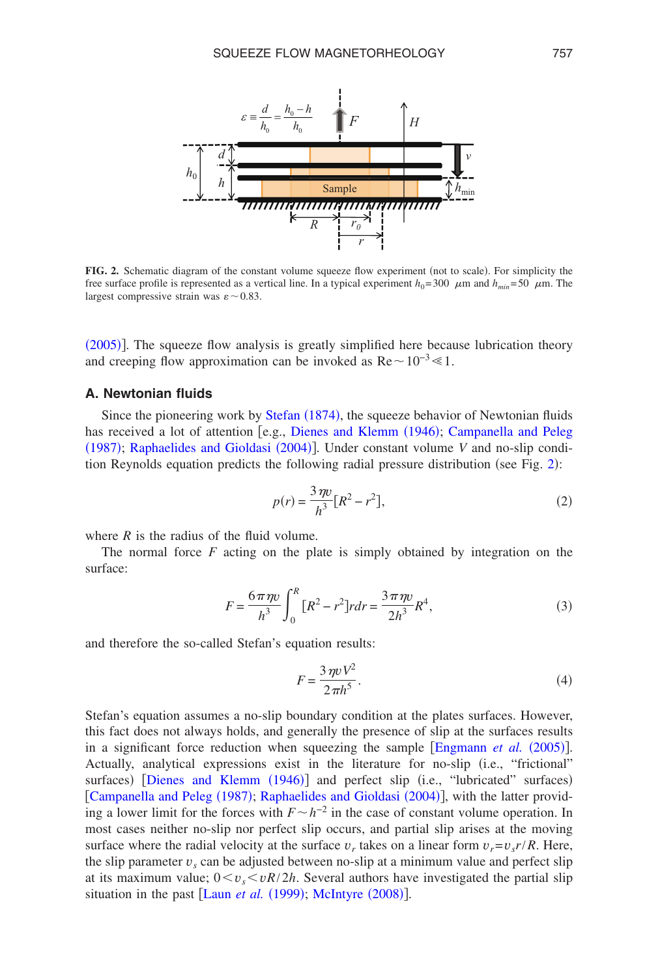<span id="page-4-0"></span>

FIG. 2. Schematic diagram of the constant volume squeeze flow experiment (not to scale). For simplicity the free surface profile is represented as a vertical line. In a typical experiment  $h_0 = 300 \mu$ m and  $h_{min} = 50 \mu$ m. The largest compressive strain was  $\varepsilon \sim 0.83$ .

([2005](#page-24-16))]. The squeeze flow analysis is greatly simplified here because lubrication theory and creeping flow approximation can be invoked as  $\text{Re} \sim 10^{-3} \ll 1$ .

#### **A. Newtonian fluids**

Since the pioneering work by [Stefan](#page-25-22) (1874), the squeeze behavior of Newtonian fluids [has rec](#page-23-10)eived a lot of attention [e.g., [Dienes](#page-24-17) [and](#page-23-10) [Klemm](#page-24-17) (1946); [Campanella](#page-23-10) and [Peleg](#page-23-10) (1987); [Raphaelides](#page-25-23) [and](#page-25-23) [Gioldasi](#page-25-23) (2004)]. Under c[on](#page-4-0)stant volume *V* and no-slip condition Reynolds equation predicts the following radial pressure distribution (see Fig.  $2$ ):

$$
p(r) = \frac{3 \,\eta v}{h^3} [R^2 - r^2],\tag{2}
$$

where  $R$  is the radius of the fluid volume.

The normal force *F* acting on the plate is simply obtained by integration on the surface:

$$
F = \frac{6\pi\eta v}{h^3} \int_0^R \left[ R^2 - r^2 \right] r dr = \frac{3\pi\eta v}{2h^3} R^4,
$$
 (3)

and therefore the so-called Stefan's equation results:

$$
F = \frac{3 \,\eta v V^2}{2 \,\pi h^5}.\tag{4}
$$

Stefan's equation assumes a no-slip boundary condition at the plates surfaces. However, this fact does not always holds, and generally the presence of [slip at the surfaces result](#page-24-16)s in a significant force reduction when squeezing the sample [Engmann *et al.* (2005)]. Actually, [analytical expressions exist](#page-24-17) in the literature for no-slip (i.e., "frictional" surfaces) [Dienes and Klemm (1946)] and perfect slip (i.e., "lubricated" surfaces) [[Campanella](#page-23-10) [and](#page-25-23) [Peleg](#page-23-10) (1987); [Raphaelides](#page-25-23) and [Gioldasi](#page-25-23) (2004)], with the latter providing a lower limit for the forces with  $F \sim h^{-2}$  in the case of constant volume operation. In most cases neither no-slip nor perfect slip occurs, and partial slip arises at the moving surface where the radial velocity at the surface  $v_r$  takes on a linear form  $v_r = v_r r / R$ . Here, the slip parameter  $v<sub>s</sub>$  can be adjusted between no-slip at a minimum value and perfect slip at its maximum value;  $0 \lt v_s \lt vR/2h$ . [Several authors ha](#page-25-24)ve investigated the partial slip situation in the past [Laun *[et](#page-24-18) [al.](#page-24-18)* (1999); McIntyre (2008)].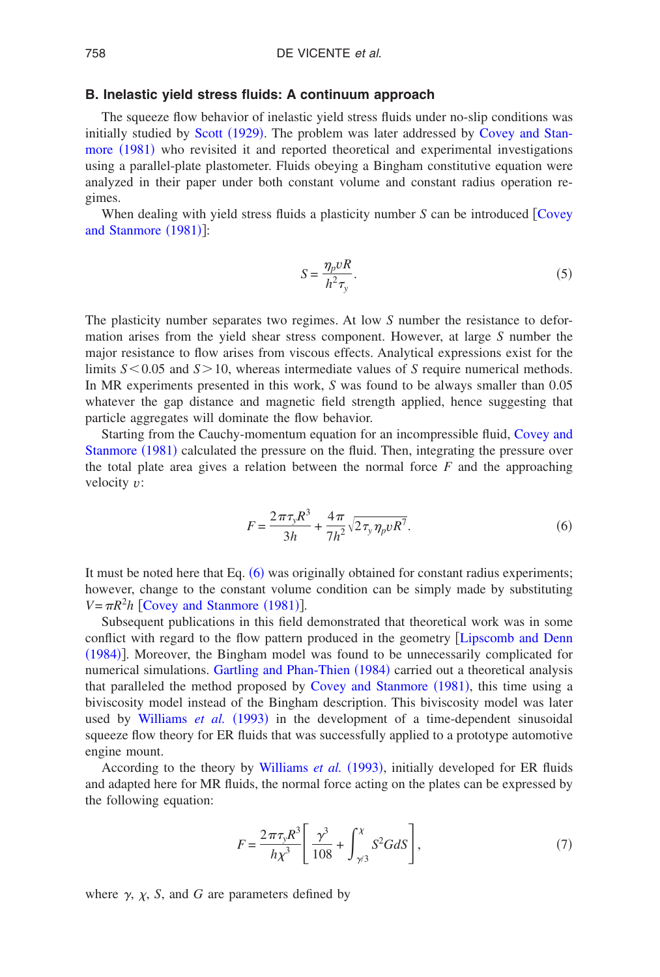## **B. Inelastic yield stress fluids: A continuum approach**

<span id="page-5-2"></span>The squeeze flo[w behavior of](#page-25-25) inelastic yield stress fluids under no-slip conditions was [initially studi](#page-23-11)ed by Scott (1929). The problem was later addressed by [Covey](#page-23-11) [and](#page-23-11) [Stan](#page-23-11)more (1981) who revisited it and reported theoretical and experimental investigations using a parallel-plate plastometer. Fluids obeying a Bingham constitutive equation were analyzed in their paper under both constant volume and constant radius operation regimes.

[When dealing with](#page-23-11) yield stress fluids a plasticity number *S* can be introduced [[Covey](#page-23-11)] and Stanmore (1981)]:

$$
S = \frac{\eta_p v R}{h^2 \tau_y}.
$$
\n<sup>(5)</sup>

The plasticity number separates two regimes. At low *S* number the resistance to deformation arises from the yield shear stress component. However, at large *S* number the major resistance to flow arises from viscous effects. Analytical expressions exist for the limits  $S \leq 0.05$  and  $S \geq 10$ , whereas intermediate values of *S* require numerical methods. In MR experiments presented in this work, *S* was found to be always smaller than 0.05 whatever the gap distance and magnetic field strength applied, hence suggesting that particle aggregates will dominate the flow behavior.

<span id="page-5-0"></span>[Starting from t](#page-23-11)he Cauchy-momentum equation for an incompressible fluid, [Covey](#page-23-11) [and](#page-23-11) Stanmore (1981) calculated the pressure on the fluid. Then, integrating the pressure over the total plate area gives a relation between the normal force *F* and the approaching velocity *v*:

$$
F = \frac{2\pi\tau_y R^3}{3h} + \frac{4\pi}{7h^2} \sqrt{2\tau_y \eta_p v R^7}.
$$
 (6)

It must be noted here that Eq.  $(6)$  $(6)$  $(6)$  was originally obtained for constant radius experiments; however, [change to the constant volum](#page-23-11)e condition can be simply made by substituting  $V = \pi R^2 h$  [Covey and Stanmore (1981)].

Subsequent publications in this field demonstrated that theoretical work was in some [conflic](#page-25-26)t with regard to the flow pattern produced in the geometry [Lipscomb](#page-25-26) [and](#page-25-26) [Denn](#page-25-26) (1984)]. Moreover, th[e Bingham model was found to b](#page-24-8)e unnecessarily complicated for numerical simulations. Gartling and Phan-Thien (1984) carried out a theoretical analysis that paralleled the method proposed by [Covey](#page-23-11) [and](#page-23-11) [Stanmore](#page-23-11) (1981), this time using a biviscosi[ty model instead of the B](#page-26-7)ingham description. This biviscosity model was later used by Williams et al. (1993) in the development of a time-dependent sinusoidal squeeze flow theory for ER fluids that was successfully applied to a prototype automotive engine mount.

<span id="page-5-1"></span>According to the theory by [Williams](#page-26-7) et al. (1993), initially developed for ER fluids and adapted here for MR fluids, the normal force acting on the plates can be expressed by the following equation:

$$
F = \frac{2\pi\tau_{y}R^{3}}{h\chi^{3}} \left[ \frac{\gamma^{3}}{108} + \int_{\gamma/3}^{\chi} S^{2}G dS \right],
$$
 (7)

where  $\gamma$ ,  $\chi$ , *S*, and *G* are parameters defined by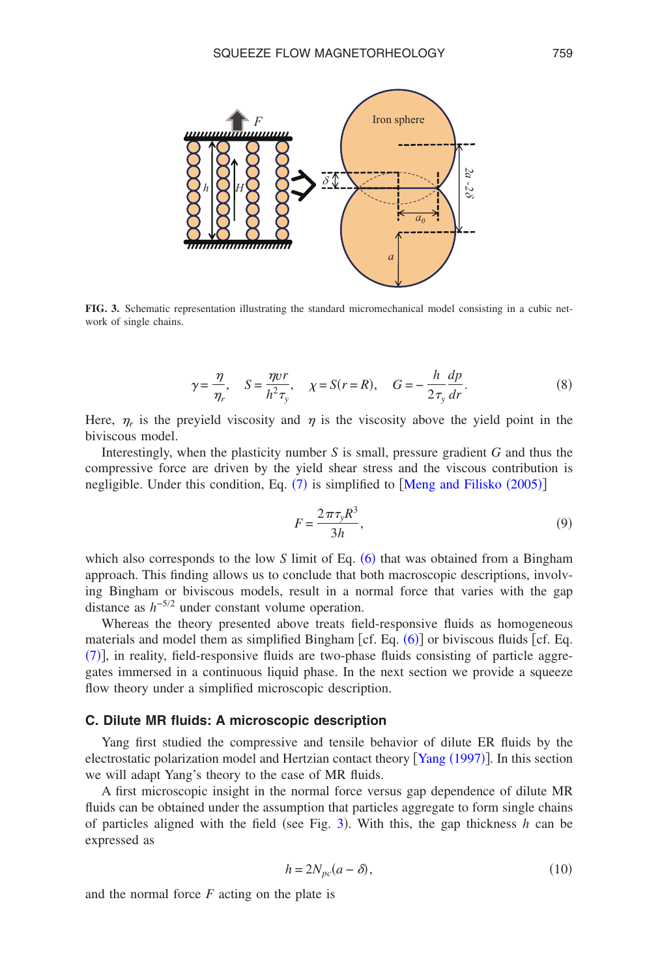<span id="page-6-0"></span>

**FIG. 3.** Schematic representation illustrating the standard micromechanical model consisting in a cubic network of single chains.

$$
\gamma = \frac{\eta}{\eta_r}, \quad S = \frac{\eta v r}{h^2 \tau_y}, \quad \chi = S(r = R), \quad G = -\frac{h}{2\tau_y} \frac{dp}{dr}.
$$
 (8)

<span id="page-6-2"></span>Here,  $\eta_r$  is the preyield viscosity and  $\eta$  is the viscosity above the yield point in the biviscous model.

Interestingly, when the plasticity number *S* is small, pressure gradient *G* and thus the compressive force are driven by the [yie](#page-5-1)ld shear stress [and the viscous contributi](#page-25-13)on is negligible. Under this condition, Eq.  $(7)$  is simplified to [Meng and Filisko (2005)]

$$
F = \frac{2\pi\tau_y R^3}{3h},\tag{9}
$$

which also corresponds to the low  $S$  limit of Eq.  $(6)$  $(6)$  $(6)$  that was obtained from a Bingham approach. This finding allows us to conclude that both macroscopic descriptions, involving Bingham or biviscous models, result in a normal force that varies with the gap distance as *h*−5/<sup>2</sup> under constant volume operation.

Whereas the theory presented above treats field-res[pons](#page-5-0)ive fluids as homogeneous [ma](#page-5-1)terials and model them as simplified Bingham [cf. Eq.  $(6)$ ] or biviscous fluids [cf. Eq. (7)], in reality, field-responsive fluids are two-phase fluids consisting of particle aggregates immersed in a continuous liquid phase. In the next section we provide a squeeze flow theory under a simplified microscopic description.

#### **C. Dilute MR fluids: A microscopic description**

<span id="page-6-1"></span>Yang first studied the compressive and tensile behavio[r of dilute ER](#page-26-16) fluids by the electrostatic polarization model and Hertzian contact theory [Yang (1997)]. In this section we will adapt Yang's theory to the case of MR fluids.

A first microscopic insight in the normal force versus gap dependence of dilute MR fluids can be obtained under the assumption t[ha](#page-6-0)t particles aggregate to form single chains of particles aligned with the field (see Fig.  $3$ ). With this, the gap thickness *h* can be expressed as

$$
h = 2N_{pc}(a - \delta),\tag{10}
$$

and the normal force *F* acting on the plate is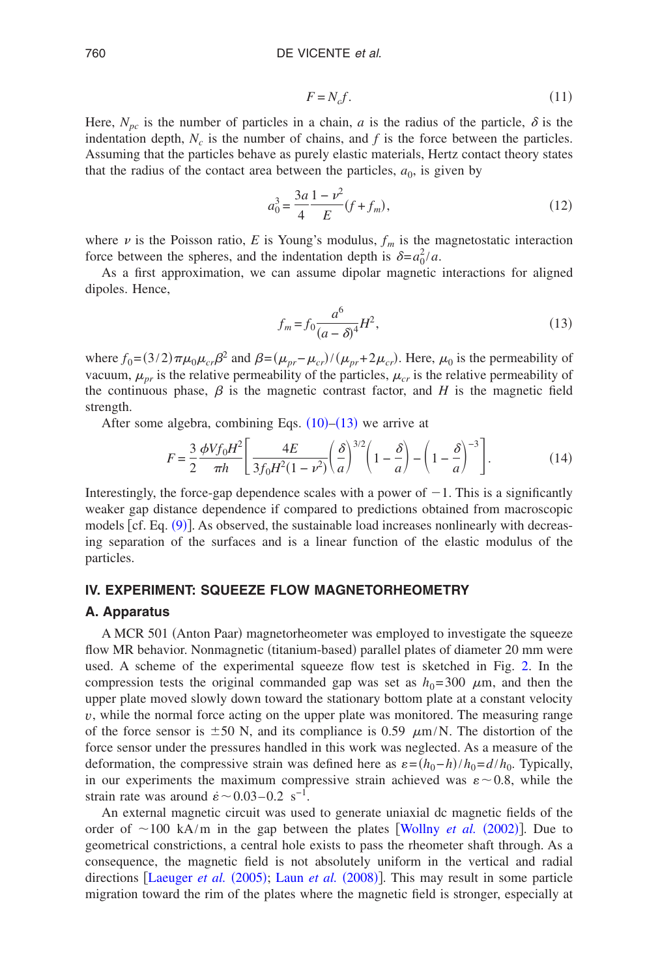$$
F = N_c f. \tag{11}
$$

Here,  $N_{pc}$  is the number of particles in a chain, *a* is the radius of the particle,  $\delta$  is the indentation depth,  $N_c$  is the number of chains, and  $f$  is the force between the particles. Assuming that the particles behave as purely elastic materials, Hertz contact theory states that the radius of the contact area between the particles,  $a_0$ , is given by

$$
a_0^3 = \frac{3a}{4} \frac{1 - \nu^2}{E} (f + f_m),
$$
\n(12)

<span id="page-7-0"></span>where  $\nu$  is the Poisson ratio, *E* is Young's modulus,  $f_m$  is the magnetostatic interaction force between the spheres, and the indentation depth is  $\delta = a_0^2 / a$ .

As a first approximation, we can assume dipolar magnetic interactions for aligned dipoles. Hence,

$$
f_m = f_0 \frac{a^6}{(a - \delta)^4} H^2,
$$
\n(13)

<span id="page-7-1"></span>where  $f_0 = (3/2)\pi\mu_0\mu_{cr}\beta^2$  and  $\beta = (\mu_{pr} - \mu_{cr})/(\mu_{pr} + 2\mu_{cr})$ . Here,  $\mu_0$  is the permeability of vacuum,  $\mu_{pr}$  is the relative permeability of the particles,  $\mu_{cr}$  is the relative permeability of the continuous phase,  $\beta$  is the magnetic contrast factor, and *H* is the magnetic field strength.

After some algebra, combining Eqs.  $(10)$  $(10)$  $(10)$ – $(13)$  $(13)$  $(13)$  we arrive at

$$
F = \frac{3}{2} \frac{\phi V f_0 H^2}{\pi h} \left[ \frac{4E}{3f_0 H^2 (1 - \nu^2)} \left( \frac{\delta}{a} \right)^{3/2} \left( 1 - \frac{\delta}{a} \right) - \left( 1 - \frac{\delta}{a} \right)^{-3} \right].
$$
 (14)

Interestingly, the force-gap dependence scales with a power of  $-1$ . This is a significantly weaker gap dis[tanc](#page-6-2)e dependence if compared to predictions obtained from macroscopic models [cf. Eq. (9)]. As observed, the sustainable load increases nonlinearly with decreasing separation of the surfaces and is a linear function of the elastic modulus of the particles.

## **IV. EXPERIMENT: SQUEEZE FLOW MAGNETORHEOMETRY**

### **A. Apparatus**

A MCR 501 (Anton Paar) magnetorheometer was employed to investigate the squeeze flow MR behavior. Nonmagnetic (titanium-based) parallel plates of diameter 20 [m](#page-4-0)m were used. A scheme of the experimental squeeze flow test is sketched in Fig. 2. In the compression tests the original commanded gap was set as  $h_0 = 300 \mu$ m, and then the upper plate moved slowly down toward the stationary bottom plate at a constant velocity *v*, while the normal force acting on the upper plate was monitored. The measuring range of the force sensor is  $\pm 50$  N, and its compliance is 0.59  $\mu$ m/N. The distortion of the force sensor under the pressures handled in this work was neglected. As a measure of the deformation, the compressive strain was defined here as  $\varepsilon = (h_0 - h)/h_0 = d/h_0$ . Typically, in our experiments the maximum compressive strain achieved was  $\varepsilon \sim 0.8$ , while the strain rate was around  $\dot{\epsilon}$  ~ 0.03–0.2 s<sup>-1</sup>.

An external magnetic circuit was used to generate u[niaxial dc magnetic fiel](#page-26-17)ds of the order of  $\sim$ 100 kA/m in the gap between the plates [Wollny *et al.* (2002)]. Due to geometrical constrictions, a central hole exists to pass the rheometer shaft through. As a consequen[ce, the magnetic field](#page-24-19) [is not absolutely u](#page-24-20)niform in the vertical and radial directions [Laeuger *et al.* (2005); Laun *et al.* (2008)]. This may result in some particle migration toward the rim of the plates where the magnetic field is stronger, especially at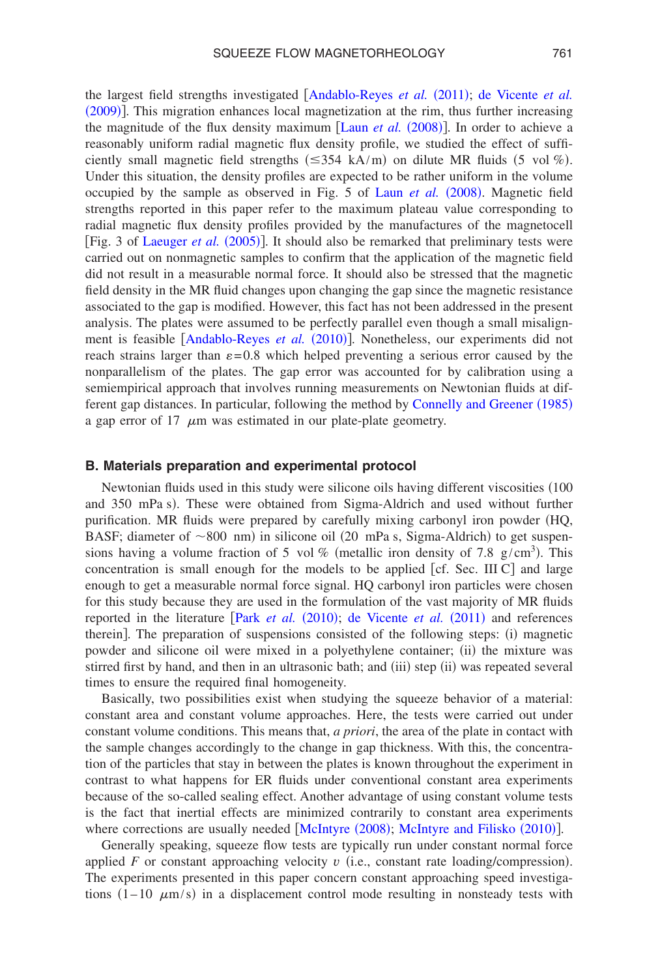[the larg](#page-24-6)est field strengths investigated [[Andablo-Reyes](#page-23-12) et al. (2011); [de](#page-24-6) [Vicente](#page-24-6) et al. (2009)]. This migration enhances local magn[etization at the rim,](#page-24-20) thus further increasing the magnitude of the flux density maximum [Laun *et al.* (2008)]. In order to achieve a reasonably uniform radial magnetic flux density profile, we studied the effect of sufficiently small magnetic field strengths  $(\leq 354 \text{ kA/m})$  on dilute MR fluids  $(5 \text{ vol } \%)$ . Under this situation, the density profiles are expecte[d to be rather uniform](#page-24-20) in the volume occupied by the sample as observed in Fig. 5 of Laun et al. (2008). Magnetic field

strengths reported in this paper refer to the maximum plateau value corresponding to radial ma[gnetic flux density pro](#page-24-19)files provided by the manufactures of the magnetocell [Fig. 3 of Laeuger et al. (2005)]. It should also be remarked that preliminary tests were carried out on nonmagnetic samples to confirm that the application of the magnetic field did not result in a measurable normal force. It should also be stressed that the magnetic field density in the MR fluid changes upon changing the gap since the magnetic resistance associated to the gap is modified. However, this fact has not been addressed in the present analysis. The plat[es were assumed to be perfectl](#page-23-13)y parallel even though a small misalignment is feasible [Andablo-Reyes et al. (2010)]. Nonetheless, our experiments did not reach strains larger than  $\varepsilon = 0.8$  which helped preventing a serious error caused by the nonparallelism of the plates. The gap error was accounted for by calibration using a semiempirical approach that involves running measuremen[ts on Newtonian fluids at dif](#page-23-14)ferent gap distances. In particular, following the method by Connelly and Greener (1985) a gap error of 17  $\mu$ m was estimated in our plate-plate geometry.

### **B. Materials preparation and experimental protocol**

Newtonian fluids used in this study were silicone oils having different viscosities (100 and 350 mPa s). These were obtained from Sigma-Aldrich and used without further purification. MR fluids were prepared by carefully mixing carbonyl iron powder (HQ, BASF; diameter of  $\sim 800$  nm) in silicone oil (20 mPa s, Sigma-Aldrich) to get suspensions having a volume fraction of 5 vol % (metallic iron density of 7.8  $g/cm<sup>3</sup>$ ). This concentration is small enough for the models to be applied  $[cf.$  Sec. III C and large enough to get a measurable normal force signal. HQ carbonyl iron particles were chosen for this study because they [are used in the for](#page-25-1)[mulation of the vast majori](#page-23-1)ty of MR fluids reported in the literature [Park *et al.* (2010); de Vicente *et al.* (2011) and references therein]. The preparation of suspensions consisted of the following steps: (i) magnetic powder and silicone oil were mixed in a polyethylene container; (ii) the mixture was stirred first by hand, and then in an ultrasonic bath; and (iii) step (ii) was repeated several times to ensure the required final homogeneity.

Basically, two possibilities exist when studying the squeeze behavior of a material: constant area and constant volume approaches. Here, the tests were carried out under constant volume conditions. This means that, *a priori*, the area of the plate in contact with the sample changes accordingly to the change in gap thickness. With this, the concentration of the particles that stay in between the plates is known throughout the experiment in contrast to what happens for ER fluids under conventional constant area experiments because of the so-called sealing effect. Another advantage of using constant volume tests is the fact that inertial effects are m[inimized contrari](#page-25-24)l[y to constant area experimen](#page-25-7)ts where corrections are usually needed [McIntyre (2008); McIntyre and Filisko (2010)].

Generally speaking, squeeze flow tests are typically run under constant normal force applied  $F$  or constant approaching velocity  $v$  (i.e., constant rate loading/compression). The experiments presented in this paper concern constant approaching speed investigations  $(1-10 \mu m/s)$  in a displacement control mode resulting in nonsteady tests with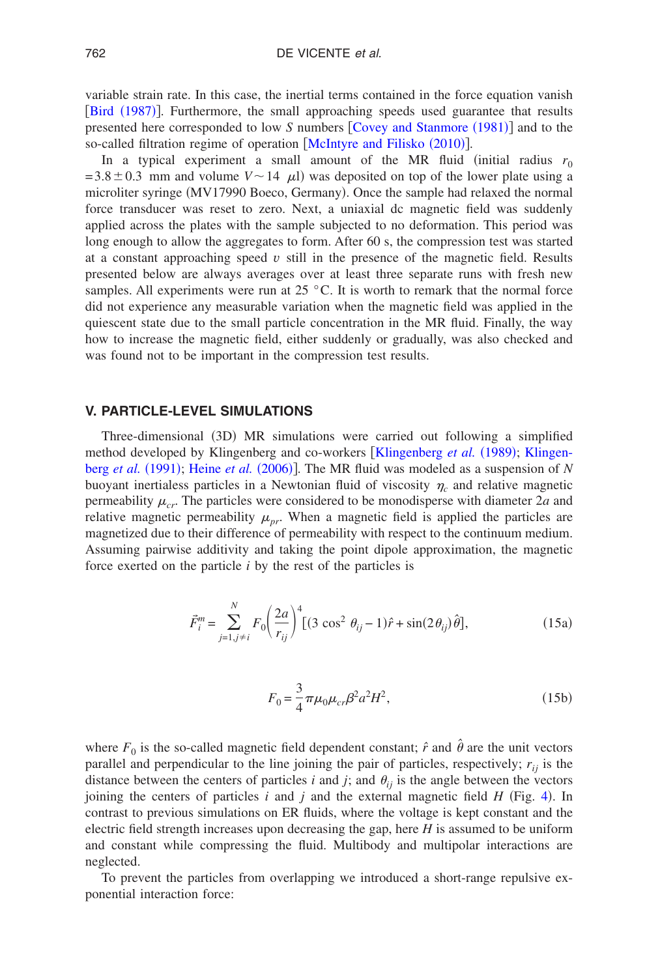[variable strain](#page-23-15) rate. In this case, the inertial terms contained in the force equation vanish [Bird (1987)]. Furthermore, the small approac[hing speeds used guarantee](#page-23-11) that results presented here corresponded to low *S* numbers [Covey and Stanmore (1981)] and to the so-called filtration regime of operation [[McIntyre](#page-25-7) [and](#page-25-7) [Filisko](#page-25-7) (2010)].

In a typical experiment a small amount of the MR fluid (initial radius  $r_0$  $= 3.8 \pm 0.3$  mm and volume  $V \sim 14$   $\mu$ ) was deposited on top of the lower plate using a microliter syringe (MV17990 Boeco, Germany). Once the sample had relaxed the normal force transducer was reset to zero. Next, a uniaxial dc magnetic field was suddenly applied across the plates with the sample subjected to no deformation. This period was long enough to allow the aggregates to form. After 60 s, the compression test was started at a constant approaching speed  $v$  still in the presence of the magnetic field. Results presented below are always averages over at least three separate runs with fresh new samples. All experiments were run at 25  $\degree$ C. It is worth to remark that the normal force did not experience any measurable variation when the magnetic field was applied in the quiescent state due to the small particle concentration in the MR fluid. Finally, the way how to increase the magnetic field, either suddenly or gradually, was also checked and was found not to be important in the compression test results.

## **V. PARTICLE-LEVEL SIMULATIONS**

Three-dimensional (3D) MR simulations were [carried out following a](#page-24-21) simplified [method developed](#page-24-22) [by Klingenberg and](#page-24-23) co-workers [Klingenberg et al. (1989); [Klingen](#page-24-22)berg *et al.* (1991); Heine *et al.* (2006)]. The MR fluid was modeled as a suspension of *N* buoyant inertialess particles in a Newtonian fluid of viscosity  $\eta_c$  and relative magnetic permeability  $\mu_{cr}$ . The particles were considered to be monodisperse with diameter 2*a* and relative magnetic permeability  $\mu_{pr}$ . When a magnetic field is applied the particles are magnetized due to their difference of permeability with respect to the continuum medium. Assuming pairwise additivity and taking the point dipole approximation, the magnetic force exerted on the particle *i* by the rest of the particles is

$$
\vec{F}_i^m = \sum_{j=1, j \neq i}^N F_0 \left( \frac{2a}{r_{ij}} \right)^4 \left[ (3 \cos^2 \theta_{ij} - 1)\hat{r} + \sin(2\theta_{ij}) \hat{\theta} \right],\tag{15a}
$$

$$
F_0 = \frac{3}{4} \pi \mu_0 \mu_{cr} \beta^2 a^2 H^2,
$$
\t(15b)

where  $F_0$  is the so-called magnetic field dependent constant;  $\hat{r}$  and  $\hat{\theta}$  are the unit vectors parallel and perpendicular to the line joining the pair of particles, respectively;  $r_{ij}$  is the distance between the centers of particles  $i$  and  $j$ ; and  $\theta_{ij}$  is the angle between the [vec](#page-10-0)tors joining the centers of particles  $i$  and  $j$  and the external magnetic field  $H$  (Fig. 4). In contrast to previous simulations on ER fluids, where the voltage is kept constant and the electric field strength increases upon decreasing the gap, here *H* is assumed to be uniform and constant while compressing the fluid. Multibody and multipolar interactions are neglected.

To prevent the particles from overlapping we introduced a short-range repulsive exponential interaction force: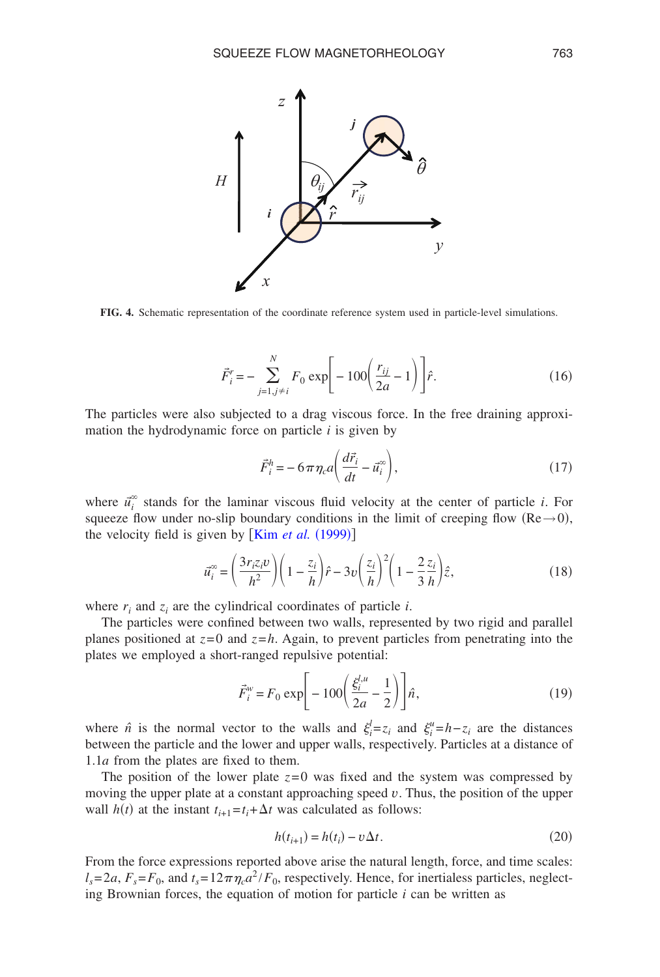<span id="page-10-0"></span>

**FIG. 4.** Schematic representation of the coordinate reference system used in particle-level simulations.

$$
\vec{F}_i^r = -\sum_{j=1, j\neq i}^N F_0 \exp\left[-100\left(\frac{r_{ij}}{2a} - 1\right)\right] \hat{r}.\tag{16}
$$

The particles were also subjected to a drag viscous force. In the free draining approximation the hydrodynamic force on particle *i* is given by

$$
\vec{F}_i^h = -6\pi \eta_c a \left( \frac{d\vec{r}_i}{dt} - \vec{u}_i^{\infty} \right),\tag{17}
$$

where  $\vec{u}_i^{\infty}$  stands for the laminar viscous fluid velocity at the center of particle *i*. For squeeze flow under no-slip b[oundary conditions](#page-24-11) in the limit of creeping flow  $(Re \rightarrow 0)$ , the velocity field is given by  $[Kim \text{ et } al. (1999)]$ 

$$
\vec{u}_i^{\infty} = \left(\frac{3r_i z_i v}{h^2}\right) \left(1 - \frac{z_i}{h}\right) \hat{r} - 3v \left(\frac{z_i}{h}\right)^2 \left(1 - \frac{2 z_i}{3 h}\right) \hat{z},\tag{18}
$$

where  $r_i$  and  $z_i$  are the cylindrical coordinates of particle *i*.

The particles were confined between two walls, represented by two rigid and parallel planes positioned at  $z=0$  and  $z=h$ . Again, to prevent particles from penetrating into the plates we employed a short-ranged repulsive potential:

$$
\vec{F}_i^w = F_0 \exp\left[-100\left(\frac{\xi_i^{l,u}}{2a} - \frac{1}{2}\right)\right] \hat{n},\tag{19}
$$

<span id="page-10-1"></span>where  $\hat{n}$  is the normal vector to the walls and  $\xi_i^l = z_i$  and  $\xi_i^u = h - z_i$  are the distances between the particle and the lower and upper walls, respectively. Particles at a distance of 1.1*a* from the plates are fixed to them.

The position of the lower plate  $z=0$  was fixed and the system was compressed by moving the upper plate at a constant approaching speed *v*. Thus, the position of the upper wall  $h(t)$  at the instant  $t_{i+1} = t_i + \Delta t$  was calculated as follows:

$$
h(t_{i+1}) = h(t_i) - v\Delta t.
$$
 (20)

From the force expressions reported above arise the natural length, force, and time scales:  $l_s = 2a$ ,  $F_s = F_0$ , and  $t_s = 12\pi\eta_c a^2 / F_0$ , respectively. Hence, for inertialess particles, neglecting Brownian forces, the equation of motion for particle *i* can be written as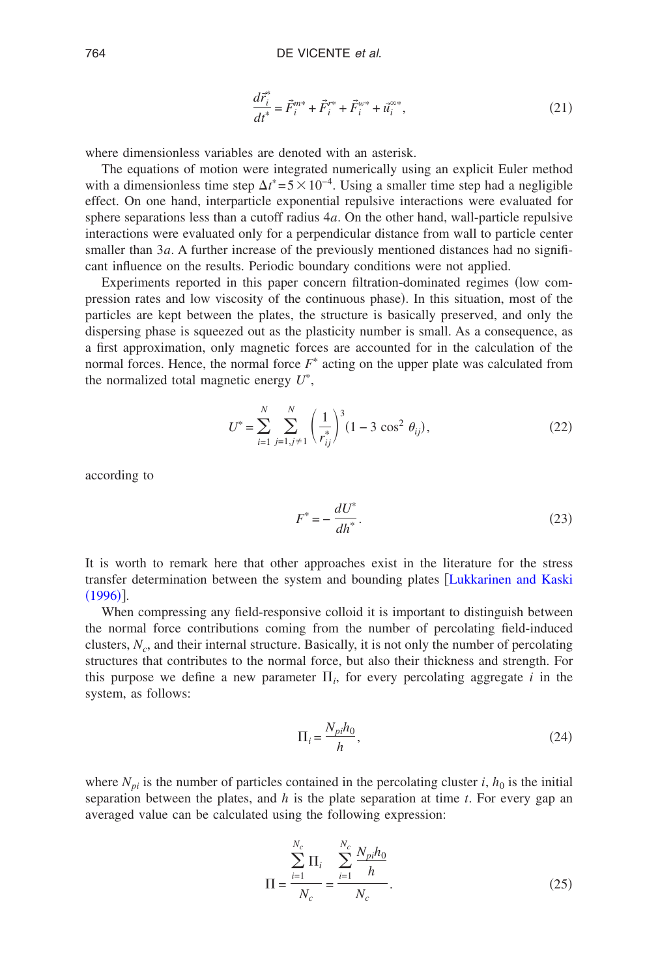$$
\frac{d\vec{r}_i^*}{dt^*} = \vec{F}_i^{m*} + \vec{F}_i^{r*} + \vec{F}_i^{w*} + \vec{u}_i^{z*},\tag{21}
$$

where dimensionless variables are denoted with an asterisk.

The equations of motion were integrated numerically using an explicit Euler method with a dimensionless time step  $\Delta t^* = 5 \times 10^{-4}$ . Using a smaller time step had a negligible effect. On one hand, interparticle exponential repulsive interactions were evaluated for sphere separations less than a cutoff radius 4*a*. On the other hand, wall-particle repulsive interactions were evaluated only for a perpendicular distance from wall to particle center smaller than 3*a*. A further increase of the previously mentioned distances had no significant influence on the results. Periodic boundary conditions were not applied.

Experiments reported in this paper concern filtration-dominated regimes (low compression rates and low viscosity of the continuous phase). In this situation, most of the particles are kept between the plates, the structure is basically preserved, and only the dispersing phase is squeezed out as the plasticity number is small. As a consequence, as a first approximation, only magnetic forces are accounted for in the calculation of the normal forces. Hence, the normal force  $F^*$  acting on the upper plate was calculated from the normalized total magnetic energy *U* ,

$$
U^* = \sum_{i=1}^N \sum_{j=1, j \neq 1}^N \left(\frac{1}{r_{ij}^*}\right)^3 (1 - 3 \cos^2 \theta_{ij}),
$$
 (22)

<span id="page-11-0"></span>according to

$$
F^* = -\frac{dU^*}{dh^*}.\tag{23}
$$

It is worth to remark here that other approaches exist in the literature for the stress [transfe](#page-25-14)r determination between the system and bounding plates [[Lukkarinen](#page-25-14) [and](#page-25-14) [Kaski](#page-25-14)  $(1996)$ ].

When compressing any field-responsive colloid it is important to distinguish between the normal force contributions coming from the number of percolating field-induced clusters, *Nc*, and their internal structure. Basically, it is not only the number of percolating structures that contributes to the normal force, but also their thickness and strength. For this purpose we define a new parameter  $\Pi_i$ , for every percolating aggregate *i* in the system, as follows:

$$
\Pi_i = \frac{N_{pi} h_0}{h},\tag{24}
$$

where  $N_{pi}$  is the number of particles contained in the percolating cluster *i*,  $h_0$  is the initial separation between the plates, and *h* is the plate separation at time *t*. For every gap an averaged value can be calculated using the following expression:

$$
\Pi = \frac{\sum_{i=1}^{N_c} \Pi_i}{N_c} = \frac{\sum_{i=1}^{N_c} \frac{N_{pi} h_0}{h}}{N_c}.
$$
\n(25)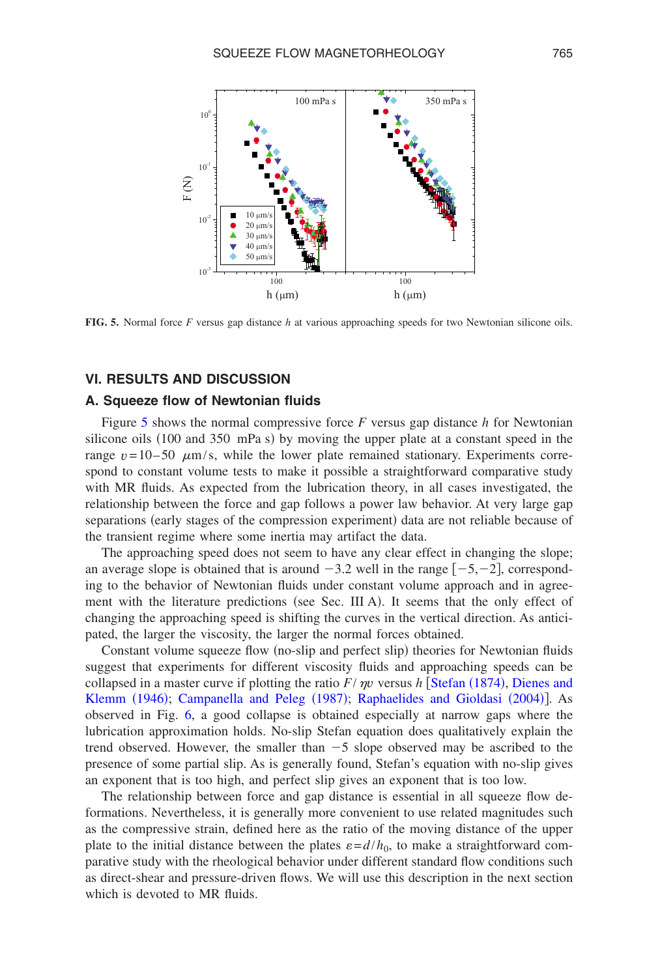<span id="page-12-0"></span>

**FIG. 5.** Normal force *F* versus gap distance *h* at various approaching speeds for two Newtonian silicone oils.

## **VI. RESULTS AND DISCUSSION**

### **A. Squeeze flow of Newtonian fluids**

Figure [5](#page-12-0) shows the normal compressive force *F* versus gap distance *h* for Newtonian silicone oils (100 and 350 mPa s) by moving the upper plate at a constant speed in the range  $v = 10-50$   $\mu$ m/s, while the lower plate remained stationary. Experiments correspond to constant volume tests to make it possible a straightforward comparative study with MR fluids. As expected from the lubrication theory, in all cases investigated, the relationship between the force and gap follows a power law behavior. At very large gap separations (early stages of the compression experiment) data are not reliable because of the transient regime where some inertia may artifact the data.

The approaching speed does not seem to have any clear effect in changing the slope; an average slope is obtained that is around  $-3.2$  well in the range  $[-5,-2]$ , corresponding to the behavior of Newtonian fluids under constant volume approach and in agreement with the literature predictions (see Sec. III A). It seems that the only effect of changing the approaching speed is shifting the curves in the vertical direction. As anticipated, the larger the viscosity, the larger the normal forces obtained.

Constant volume squeeze flow (no-slip and perfect slip) theories for Newtonian fluids suggest that experiments for different viscosity fluids and a[pproaching spe](#page-25-22)eds can be [collapsed in a m](#page-24-17)[aster curve if plotting the ratio](#page-23-10)  $F/\eta v$  versus *h* [Stefan (1874), [Dienes](#page-24-17) [and](#page-24-17) Klemm (1946); [Ca](#page-13-0)mpanella and Peleg (1987); [Raphaelides](#page-25-23) [and](#page-25-23) [Gioldasi](#page-25-23) (2004)]. As observed in Fig. 6, a good collapse is obtained especially at narrow gaps where the lubrication approximation holds. No-slip Stefan equation does qualitatively explain the trend observed. However, the smaller than  $-5$  slope observed may be ascribed to the presence of some partial slip. As is generally found, Stefan's equation with no-slip gives an exponent that is too high, and perfect slip gives an exponent that is too low.

The relationship between force and gap distance is essential in all squeeze flow deformations. Nevertheless, it is generally more convenient to use related magnitudes such as the compressive strain, defined here as the ratio of the moving distance of the upper plate to the initial distance between the plates  $\varepsilon = d/h_0$ , to make a straightforward comparative study with the rheological behavior under different standard flow conditions such as direct-shear and pressure-driven flows. We will use this description in the next section which is devoted to MR fluids.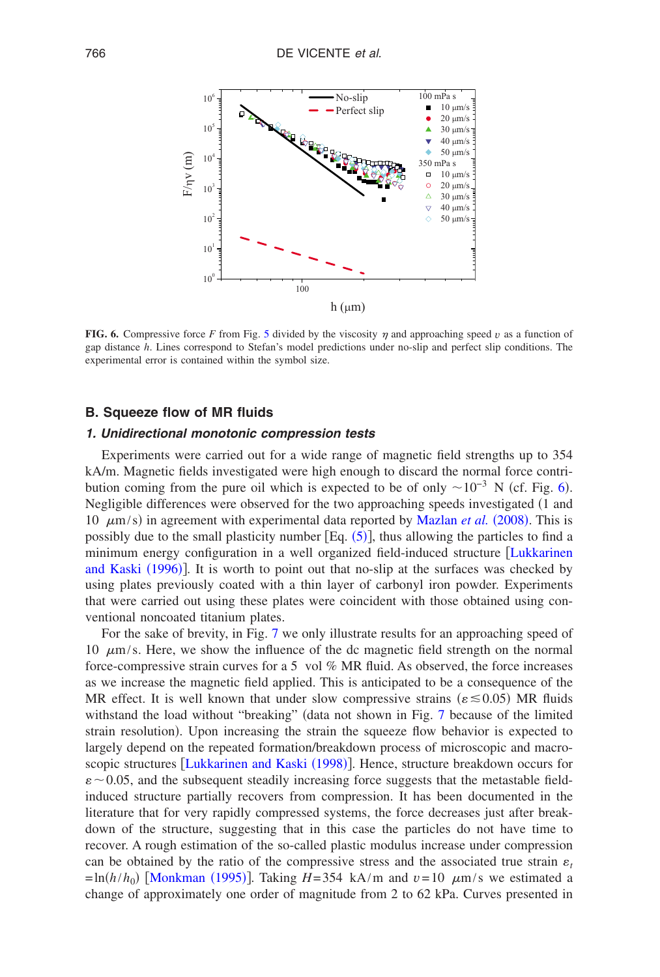<span id="page-13-0"></span>

**FIG. 6.** Compressive force F from Fig. [5](#page-12-0) divided by the viscosity  $\eta$  and approaching speed v as a function of gap distance *h*. Lines correspond to Stefan's model predictions under no-slip and perfect slip conditions. The experimental error is contained within the symbol size.

## **B. Squeeze flow of MR fluids**

### *1. Unidirectional monotonic compression tests*

Experiments were carried out for a wide range of magnetic field strengths up to 354 kA/m. Magnetic fields investigated were high enough to discard the normal force con[tri](#page-13-0)bution coming from the pure oil which is expected to be of only  $\sim 10^{-3}$  N (cf. Fig. 6). Negligible differences were observed for the two approachi[ng speeds investigated](#page-25-21) (1 and 10  $\mu$ m/s) in agreement with experimental data [repo](#page-5-2)rted by Mazlan *et al.* (2008). This is possibly due to the small plasticity number  $[Eq. (5)]$ , thus allowing the particles to find a [minimum energy](#page-25-14) configuration in a well organized field-induced structure [Lukkarinen](#page-25-14) and Kaski (1996)]. It is worth to point out that no-slip at the surfaces was checked by using plates previously coated with a thin layer of carbonyl iron powder. Experiments that were carried out using these plates were coincident with those obtained using conventional noncoated titanium pla[tes](#page-14-0).

For the sake of brevity, in Fig. 7 we only illustrate results for an approaching speed of 10  $\mu$ m/s. Here, we show the influence of the dc magnetic field strength on the normal force-compressive strain curves for a 5 vol % MR fluid. As observed, the force increases as we increase the magnetic field applied. This is anticipated to be a consequence of the MR effect. It is well known that under slow compressive stra[ins](#page-14-0) ( $\varepsilon \le 0.05$ ) MR fluids withstand the load without "breaking" (data not shown in Fig. 7 because of the limited strain resolution. Upon increasing the strain the squeeze flow behavior is expected to largely depend on [the repeated formation/breakd](#page-25-15)own process of microscopic and macroscopic structures [Lukkarinen and Kaski (1998)]. Hence, structure breakdown occurs for  $\varepsilon$  ~ 0.05, and the subsequent steadily increasing force suggests that the metastable fieldinduced structure partially recovers from compression. It has been documented in the literature that for very rapidly compressed systems, the force decreases just after breakdown of the structure, suggesting that in this case the particles do not have time to recover. A rough estimation of the so-called plastic modulus increase under compression can be obt[ained by the ratio](#page-25-9) of the compressive stress and the associated true strain  $\varepsilon_t$  $=$ ln( $h/h_0$ ) [Monkman (1995)]. Taking *H*=354 kA/m and  $v=10 \mu$ m/s we estimated a change of approximately one order of magnitude from 2 to 62 kPa. Curves presented in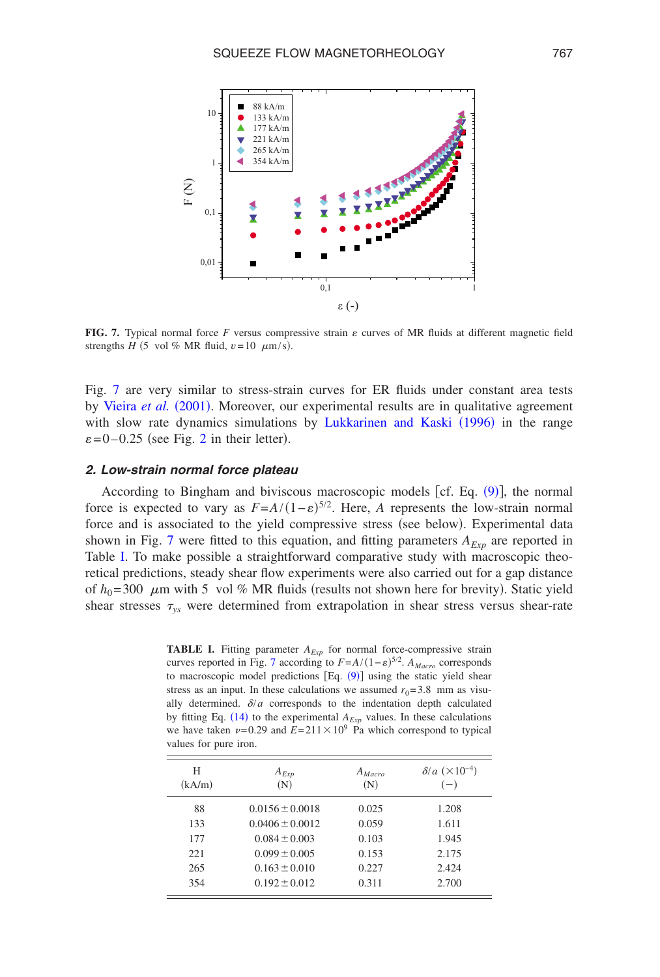<span id="page-14-0"></span>

**FIG. 7.** Typical normal force F versus compressive strain  $\varepsilon$  curves of MR fluids at different magnetic field strengths *H* (5 vol % MR fluid,  $v = 10 \mu m/s$ ).

Fig. [7](#page-14-0) [are very similar](#page-26-9) to stress-strain curves for ER fluids under constant area tests by Vieira et al. (2001). Moreover, our exp[erimental results are in qualitati](#page-25-14)ve agreement with slow rate dyn[am](#page-4-0)ics simulations by Lukkarinen and Kaski (1996) in the range  $\varepsilon$ =0-0.25 (see Fig. 2 in their letter).

### *2. Low-strain normal force plateau*

<span id="page-14-1"></span>According to Bingham and biviscous macroscopic models [cf. Eq.  $(9)$ ], the normal force is expected to vary as  $F = A/(1 - \varepsilon)^{5/2}$ . Here, *A* represents the low-strain normal force and is a[sso](#page-14-0)ciated to the yield compressive stress (see below). Experimental data shown in Fig. 7 were fitted to this equation, and fitting parameters  $A_{Exp}$  are reported in Table [I.](#page-14-1) To make possible a straightforward comparative study with macroscopic theoretical predictions, steady shear flow experiments were also carried out for a gap distance of  $h_0$ =300  $\mu$ m with 5 vol % MR fluids (results not shown here for brevity). Static yield shear stresses  $\tau_{vs}$  were determined from extrapolation in shear stress versus shear-rate

**TABLE I.** Fitting pa[ram](#page-14-0)eter  $A_{Exp}$  for normal force-compressive strain curves reported in Fig. 7 according to  $F = A/(1 - \varepsilon)^{5/2}$  $F = A/(1 - \varepsilon)^{5/2}$  $F = A/(1 - \varepsilon)^{5/2}$ .  $A_{Macco}$  corresponds to macroscopic model predictions  $[Eq. (9)]$  using the static yield shear stress as an input. In these calculations we assumed  $r_0$ = 3.8 mm as visually determin[ed.](#page-7-1)  $\delta/a$  corresponds to the indentation depth calculated by fitting Eq.  $(14)$  to the experimental  $A_{Exp}$  values. In these calculations we have taken  $\nu = 0.29$  and  $E = 211 \times 10^9$  Pa which correspond to typical values for pure iron.

| Н<br>(kA/m) | $A_{Exp}$<br>(N)    | $A_{\text{Maccro}}$<br>(N) | $\delta/a \ (\times 10^{-4})$<br>$(-)$ |
|-------------|---------------------|----------------------------|----------------------------------------|
| 88          | $0.0156 \pm 0.0018$ | 0.025                      | 1.208                                  |
| 133         | $0.0406 \pm 0.0012$ | 0.059                      | 1.611                                  |
| 177         | $0.084 \pm 0.003$   | 0.103                      | 1.945                                  |
| 221         | $0.099 \pm 0.005$   | 0.153                      | 2.175                                  |
| 265         | $0.163 \pm 0.010$   | 0.227                      | 2.424                                  |
| 354         | $0.192 \pm 0.012$   | 0.311                      | 2.700                                  |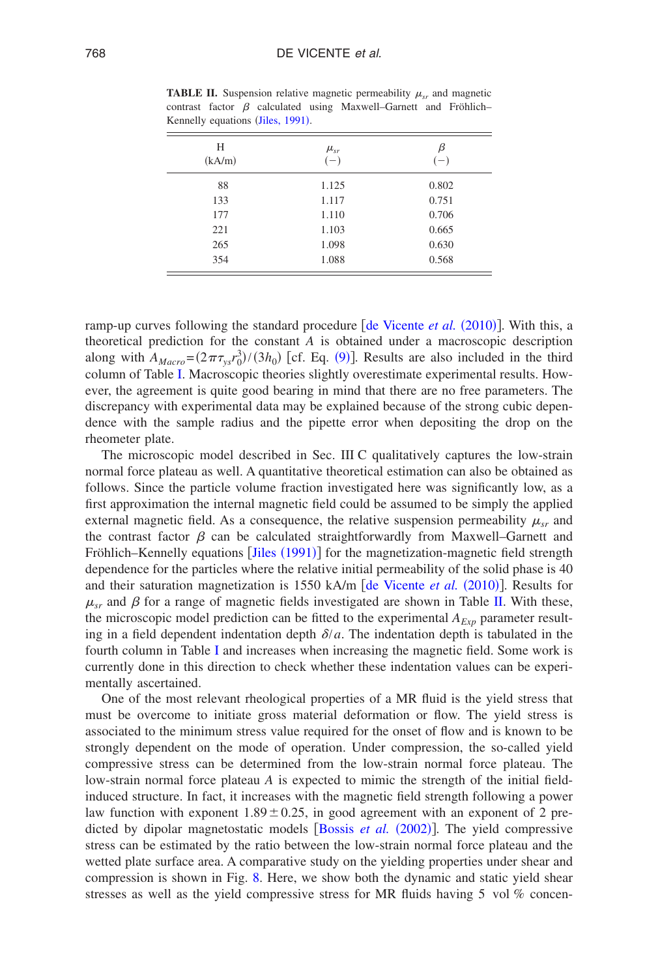<span id="page-15-0"></span>

|                                   |  |  |  |  | <b>TABLE II.</b> Suspension relative magnetic permeability $\mu_{cr}$ and magnetic |  |
|-----------------------------------|--|--|--|--|------------------------------------------------------------------------------------|--|
|                                   |  |  |  |  | contrast factor $\beta$ calculated using Maxwell–Garnett and Fröhlich–             |  |
| Kennelly equations (Jiles, 1991). |  |  |  |  |                                                                                    |  |
|                                   |  |  |  |  |                                                                                    |  |

| Н<br>(kA/m) | $\mu_{sr}$<br>$(-)$ | β<br>$(-)$ |
|-------------|---------------------|------------|
| 88          | 1.125               | 0.802      |
| 133         | 1.117               | 0.751      |
| 177         | 1.110               | 0.706      |
| 221         | 1.103               | 0.665      |
| 265         | 1.098               | 0.630      |
| 354         | 1.088               | 0.568      |

ramp-up curves following the standard procedure [[de](#page-24-1) [Vicente](#page-24-1) et al. (2010)]. With this, a theoretical prediction for the constant *A* is [obt](#page-6-2)ained under a macroscopic description along with  $A_{Macro} = (2\pi\tau_{ys}r_0^3)/(3h_0)$  $A_{Macro} = (2\pi\tau_{ys}r_0^3)/(3h_0)$  $A_{Macro} = (2\pi\tau_{ys}r_0^3)/(3h_0)$  [cf. Eq. (9)]. Results are also included in the third column of Table I. Macroscopic theories slightly overestimate experimental results. However, the agreement is quite good bearing in mind that there are no free parameters. The discrepancy with experimental data may be explained because of the strong cubic dependence with the sample radius and the pipette error when depositing the drop on the rheometer plate.

The microscopic model described in Sec. III C qualitatively captures the low-strain normal force plateau as well. A quantitative theoretical estimation can also be obtained as follows. Since the particle volume fraction investigated here was significantly low, as a first approximation the internal magnetic field could be assumed to be simply the applied external magnetic field. As a consequence, the relative suspension permeability  $\mu_{sr}$  and the contrast factor  $\beta$  can be [calculated](#page-24-24) straightforwardly from Maxwell–Garnett and Fröhlich–Kennelly equations [Jiles (1991)] for the magnetization-magnetic field strength dependence for the particles where the relative initi[al permeability of the soli](#page-24-1)d phase is 40 and their saturation magnetization is 1550 kA/m [de Vicente et al. (2010)]. Results for  $\mu_{\rm yr}$  and  $\beta$  for a range of magnetic fields investigated are shown in Table [II.](#page-15-0) With these, the microscopic model prediction can be fitted to the experimental  $A_{Exp}$  parameter resulting in a field dependen[t](#page-14-1) indentation depth  $\delta/a$ . The indentation depth is tabulated in the fourth column in Table I and increases when increasing the magnetic field. Some work is currently done in this direction to check whether these indentation values can be experimentally ascertained.

One of the most relevant rheological properties of a MR fluid is the yield stress that must be overcome to initiate gross material deformation or flow. The yield stress is associated to the minimum stress value required for the onset of flow and is known to be strongly dependent on the mode of operation. Under compression, the so-called yield compressive stress can be determined from the low-strain normal force plateau. The low-strain normal force plateau *A* is expected to mimic the strength of the initial fieldinduced structure. In fact, it increases with the magnetic field strength following a power law function with exponent  $1.89 \pm 0.25$ , i[n good agreement wi](#page-23-0)th an exponent of 2 predicted by dipolar magnetostatic models [Bossis et al. (2002)]. The yield compressive stress can be estimated by the ratio between the low-strain normal force plateau and the wetted plate surface area. A c[om](#page-16-0)parative study on the yielding properties under shear and compression is shown in Fig. 8. Here, we show both the dynamic and static yield shear stresses as well as the yield compressive stress for MR fluids having 5 vol % concen-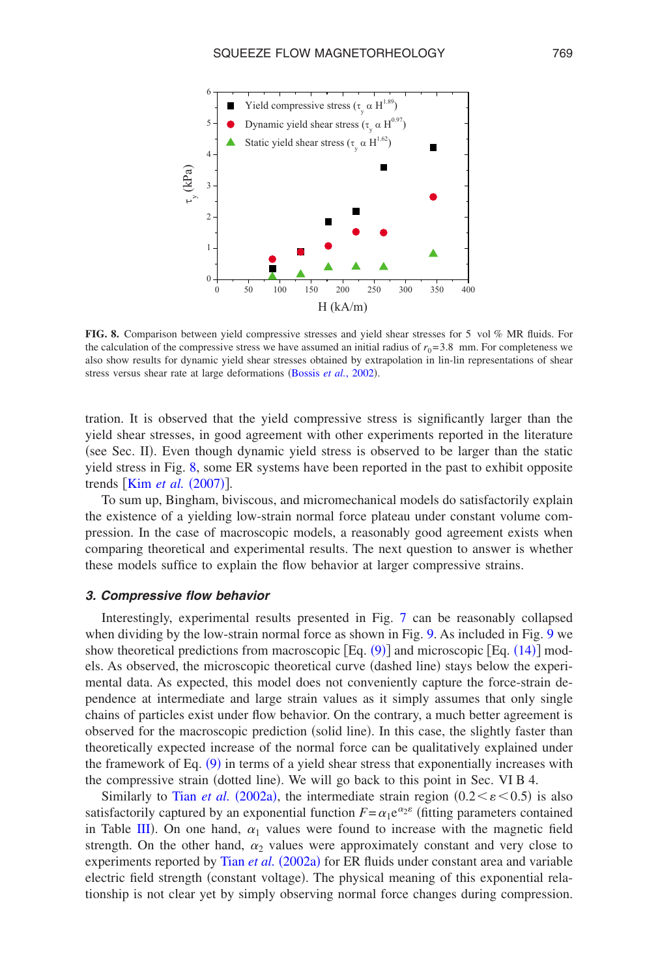<span id="page-16-0"></span>

**FIG. 8.** Comparison between yield compressive stresses and yield shear stresses for 5 vol % MR fluids. For the calculation of the compressive stress we have assumed an initial radius of  $r_0 = 3.8$  mm. For completeness we also show results for dynamic yield shear stre[sses obtained by ex](#page-23-0)trapolation in lin-lin representations of shear stress versus shear rate at large deformations (Bossis et al., 2002).

tration. It is observed that the yield compressive stress is significantly larger than the yield shear stresses, in good agreement with other experiments reported in the literature (see Sec. II). Even though dynamic yield stress is observed to be larger than the static yield st[ress in Fig.](#page-24-25) [8,](#page-16-0) some ER systems have been reported in the past to exhibit opposite trends [Kim *et al.* (2007)].

To sum up, Bingham, biviscous, and micromechanical models do satisfactorily explain the existence of a yielding low-strain normal force plateau under constant volume compression. In the case of macroscopic models, a reasonably good agreement exists when comparing theoretical and experimental results. The next question to answer is whether these models suffice to explain the flow behavior at larger compressive strains.

### *3. Compressive flow behavior*

Interestingly, experimental results presented in Fig. [7](#page-14-0) ca[n](#page-17-0) be reasonably coll[aps](#page-17-0)ed when dividing by the low-strain normal force as sho[wn i](#page-6-2)n Fig. 9. As included [in Fig](#page-7-1). 9 we show theoretical predictions from macroscopic  $[Eq. (9)]$  and microscopic  $[Eq. (14)]$  models. As observed, the microscopic theoretical curve (dashed line) stays below the experimental data. As expected, this model does not conveniently capture the force-strain dependence at intermediate and large strain values as it simply assumes that only single chains of particles exist under flow behavior. On the contrary, a much better agreement is observed for the macroscopic prediction (solid line). In this case, the slightly faster than theoretically expecte[d inc](#page-6-2)rease of the normal force can be qualitatively explained under the framework of Eq. (9) in terms of a yield shear stress that exponentially increases with the compressive strain ([dotted line](#page-26-10)). We will go back to this point in Sec. VI B 4.

Similarly to Tian *et al.* (2002a), the intermediate strain region  $(0.2 < \varepsilon < 0.5)$  is also satisfact[orily](#page-17-1) captured by an exponential function  $F = \alpha_1 e^{\alpha_2 \varepsilon}$  (fitting parameters contained in Table III). On one hand,  $\alpha_1$  values were found to increase with the magnetic field strength. On the other hand,  $\alpha_2$  [values we](#page-26-10)re approximately constant and very close to experiments reported by Tian et al. (2002a) for ER fluids under constant area and variable electric field strength (constant voltage). The physical meaning of this exponential relationship is not clear yet by simply observing normal force changes during compression.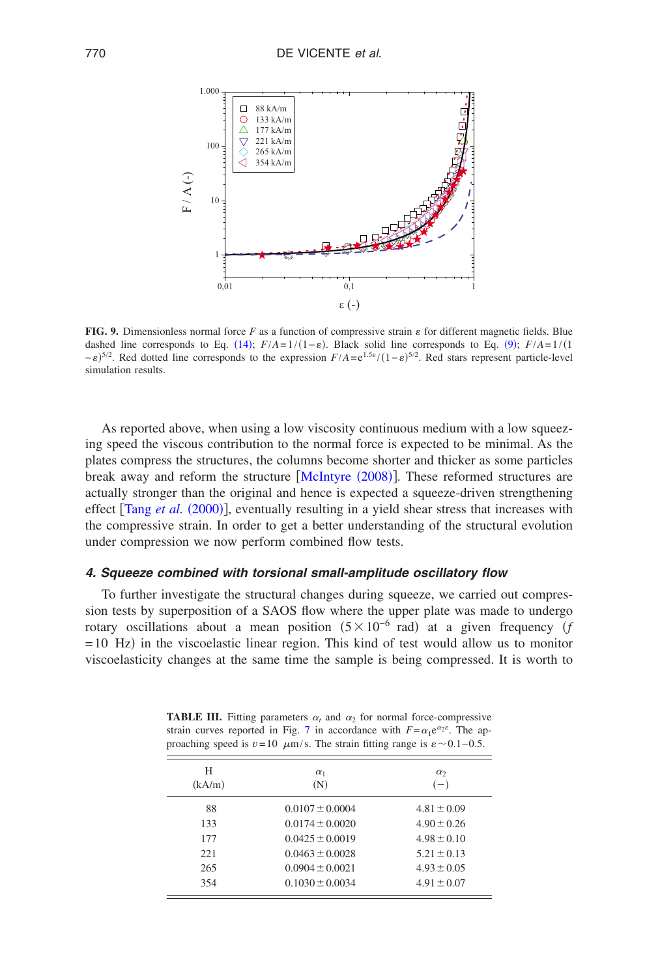<span id="page-17-0"></span>

**FIG. 9.** Dimensionless normal fo[rce](#page-7-1) *F* as a function of compressive strain  $\varepsilon$  for different mag[netic](#page-6-2) fields. Blue dashed line corresponds to Eq.  $(14)$ ;  $F/A = 1/(1 - \varepsilon)$ . Black solid line corresponds to Eq.  $(9)$ ;  $F/A = 1/(1 - \varepsilon)$  $-e^{5/2}$ . Red dotted line corresponds to the expression  $F/A = e^{1.5\varepsilon}/(1-\varepsilon)^{5/2}$ . Red stars represent particle-level simulation results.

As reported above, when using a low viscosity continuous medium with a low squeezing speed the viscous contribution to the normal force is expected to be minimal. As the plates compress the structures, the col[umns become shor](#page-25-24)ter and thicker as some particles break away and reform the structure [McIntyre (2008)]. These reformed structures are actuall[y stronger than the](#page-26-5) original and hence is expected a squeeze-driven strengthening effect [Tang et al. (2000)], eventually resulting in a yield shear stress that increases with the compressive strain. In order to get a better understanding of the structural evolution under compression we now perform combined flow tests.

### *4. Squeeze combined with torsional small-amplitude oscillatory flow*

<span id="page-17-1"></span>To further investigate the structural changes during squeeze, we carried out compression tests by superposition of a SAOS flow where the upper plate was made to undergo rotary oscillations about a mean position  $(5 \times 10^{-6} \text{ rad})$  at a given frequency  $(f)$  $= 10$  Hz) in the viscoelastic linear region. This kind of test would allow us to monitor viscoelasticity changes at the same time the sample is being compressed. It is worth to

**TABLE III.** Fitting parameters  $\alpha_t$  and  $\alpha_2$  for normal force-compressive strain curves reported in Fig. [7](#page-14-0) in accordance with  $F = \alpha_1 e^{\alpha_2 \varepsilon}$ . The approaching speed is  $v=10 \mu m/s$ . The strain fitting range is  $\varepsilon \sim 0.1-0.5$ .

| Н<br>(kA/m) | $\alpha_1$<br>(N)   | $\alpha_{2}$<br>$(-)$ |
|-------------|---------------------|-----------------------|
| 88          | $0.0107 \pm 0.0004$ | $4.81 \pm 0.09$       |
| 133         | $0.0174 \pm 0.0020$ | $4.90 \pm 0.26$       |
| 177         | $0.0425 \pm 0.0019$ | $4.98 \pm 0.10$       |
| 22.1        | $0.0463 \pm 0.0028$ | $5.21 \pm 0.13$       |
| 265         | $0.0904 \pm 0.0021$ | $4.93 \pm 0.05$       |
| 354         | $0.1030 \pm 0.0034$ | $4.91 \pm 0.07$       |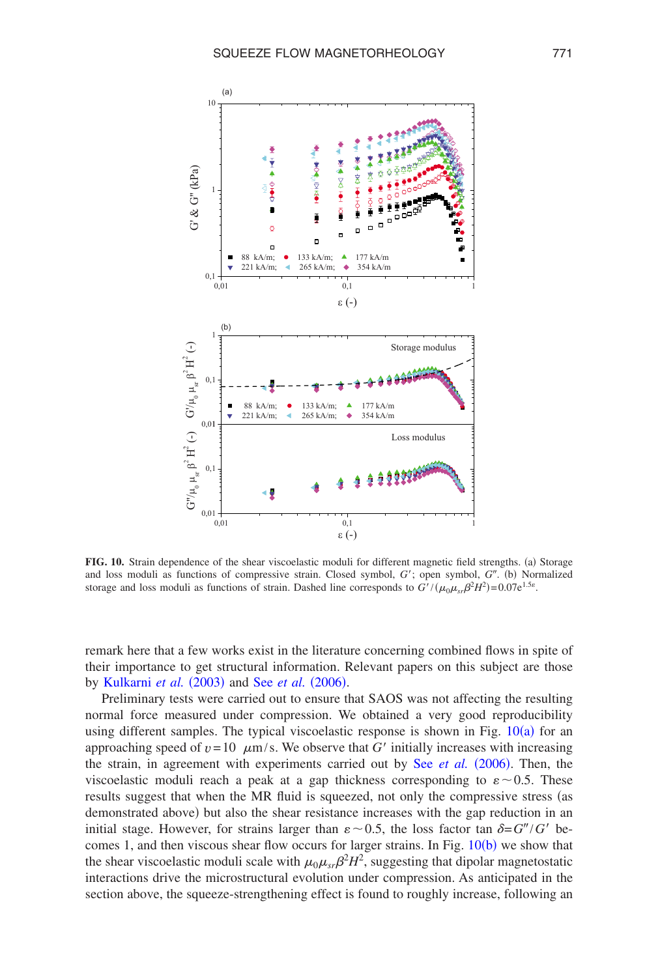<span id="page-18-0"></span>

FIG. 10. Strain dependence of the shear viscoelastic moduli for different magnetic field strengths. (a) Storage and loss moduli as functions of compressive strain. Closed symbol, G'; open symbol, G". (b) Normalized storage and loss moduli as functions of strain. Dashed line corresponds to  $G' / (\mu_0 \mu_{sr} \beta^2 H^2) = 0.07 e^{1.5 \epsilon}$ .

remark here that a few works exist in the literature concerning combined flows in spite of th[eir importance to get str](#page-24-15)uct[ural information. R](#page-25-19)elevant papers on this subject are those by Kulkarni *et al.* (2003) and See *et al.* (2006).

Preliminary tests were carried out to ensure that SAOS was not affecting the resulting normal force measured under compression. We obtained a very good re[produc](#page-18-0)ibility using different samples. The typical viscoelastic response is shown in Fig.  $10(a)$  for an approaching speed of  $v = 10$   $\mu$ m/s. We observe that *G'* init[ially increases with](#page-25-19) increasing the strain, in agreement with experiments carried out by See et al. (2006). Then, the viscoelastic moduli reach a peak at a gap thickness corresponding to  $\varepsilon \sim 0.5$ . These results suggest that when the MR fluid is squeezed, not only the compressive stress (as demonstrated above) but also the shear resistance increases with the gap reduction in an initial stage. However, for strains larger than  $\varepsilon \sim 0.5$ , the loss facto[r tan](#page-18-0)  $\delta = G''/G'$  becomes 1, and then viscous shear flow occurs for larger strains. In Fig.  $10(b)$  we show that the shear viscoelastic moduli scale with  $\mu_0 \mu_{sr} \beta^2 H^2$ , suggesting that dipolar magnetostatic interactions drive the microstructural evolution under compression. As anticipated in the section above, the squeeze-strengthening effect is found to roughly increase, following an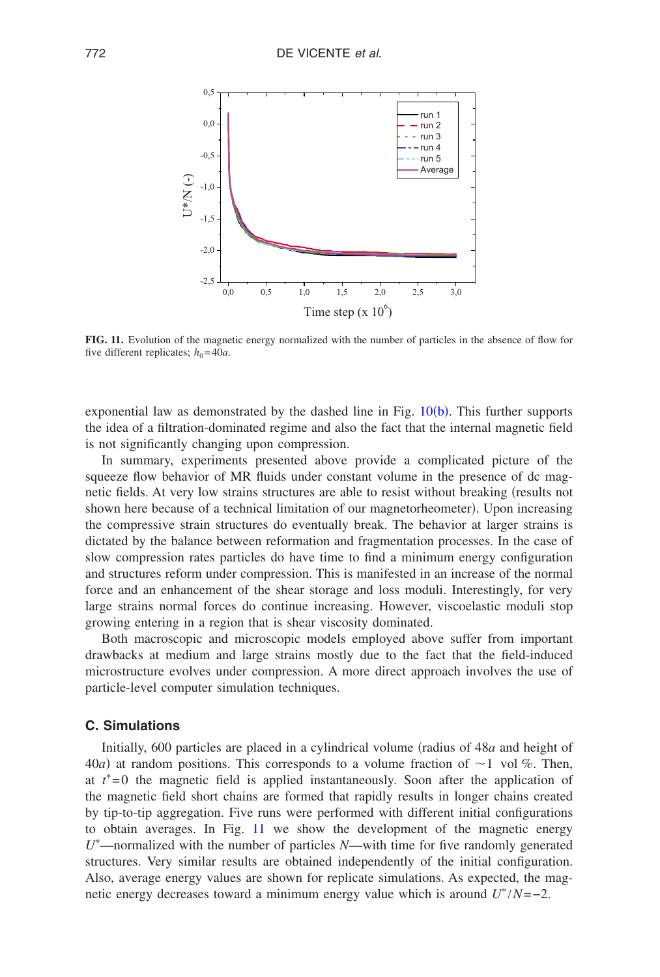<span id="page-19-0"></span>

**FIG. 11.** Evolution of the magnetic energy normalized with the number of particles in the absence of flow for five different replicates;  $h_0 = 40a$ .

exponential law as demonstrated by the dashed line in Fig.  $10(b)$  $10(b)$ . This further supports the idea of a filtration-dominated regime and also the fact that the internal magnetic field is not significantly changing upon compression.

In summary, experiments presented above provide a complicated picture of the squeeze flow behavior of MR fluids under constant volume in the presence of dc magnetic fields. At very low strains structures are able to resist without breaking (results not shown here because of a technical limitation of our magnetorheometer). Upon increasing the compressive strain structures do eventually break. The behavior at larger strains is dictated by the balance between reformation and fragmentation processes. In the case of slow compression rates particles do have time to find a minimum energy configuration and structures reform under compression. This is manifested in an increase of the normal force and an enhancement of the shear storage and loss moduli. Interestingly, for very large strains normal forces do continue increasing. However, viscoelastic moduli stop growing entering in a region that is shear viscosity dominated.

Both macroscopic and microscopic models employed above suffer from important drawbacks at medium and large strains mostly due to the fact that the field-induced microstructure evolves under compression. A more direct approach involves the use of particle-level computer simulation techniques.

### **C. Simulations**

Initially, 600 particles are placed in a cylindrical volume (radius of 48*a* and height of 40*a*) at random positions. This corresponds to a volume fraction of  $\sim$  1 vol %. Then, at  $t^*=0$  the magnetic field is applied instantaneously. Soon after the application of the magnetic field short chains are formed that rapidly results in longer chains created by tip-to-tip aggregation. Fiv[e ru](#page-19-0)ns were performed with different initial configurations to obtain averages. In Fig. 11 we show the development of the magnetic energy *U* —normalized with the number of particles *N*—with time for five randomly generated structures. Very similar results are obtained independently of the initial configuration. Also, average energy values are shown for replicate simulations. As expected, the magnetic energy decreases toward a minimum energy value which is around  $U^*/N = -2$ .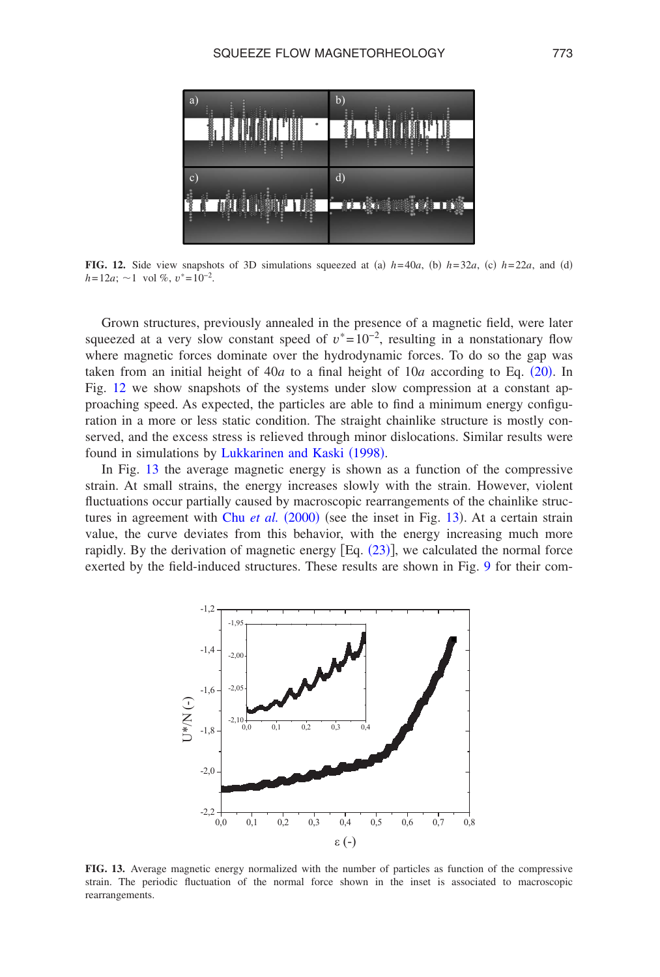<span id="page-20-0"></span>

**FIG. 12.** Side view snapshots of 3D simulations squeezed at (a)  $h=40a$ , (b)  $h=32a$ , (c)  $h=22a$ , and (d)  $h = 12a$ ; ~1 vol %,  $v^* = 10^{-2}$ .

Grown structures, previously annealed in the presence of a magnetic field, were later squeezed at a very slow constant speed of  $v^* = 10^{-2}$ , resulting in a nonstationary flow where magnetic forces dominate over the hydrodynamic forces. To do so the [gap w](#page-10-1)as take[n fr](#page-20-0)om an initial height of  $40a$  to a final height of  $10a$  according to Eq.  $(20)$ . In Fig. 12 we show snapshots of the systems under slow compression at a constant approaching speed. As expected, the particles are able to find a minimum energy configuration in a more or less static condition. The straight chainlike structure is mostly conserved, and the excess s[tress is relieved through minor](#page-25-15) dislocations. Similar results were found in s[imu](#page-20-1)lations by Lukkarinen and Kaski (1998).

<span id="page-20-1"></span>In Fig. 13 the average magnetic energy is shown as a function of the compressive strain. At small strains, the energy increases slowly with the strain. However, violent fluctuations occur partial[ly caused by macro](#page-23-7)scopic rearrangemen[ts of](#page-20-1) the chainlike structures in agreement with Chu et al. (2000) (see the inset in Fig. 13). At a certain strain value, the curve deviates from this behavior, wi[th the](#page-11-0) energy increasing much more rapidly. By [the](#page-17-0) derivation of magnetic energy  $[Eq. (23)]$ , we calculated the normal force exerted by the field-induced structures. These results are shown in Fig. 9 for their com-



**FIG. 13.** Average magnetic energy normalized with the number of particles as function of the compressive strain. The periodic fluctuation of the normal force shown in the inset is associated to macroscopic rearrangements.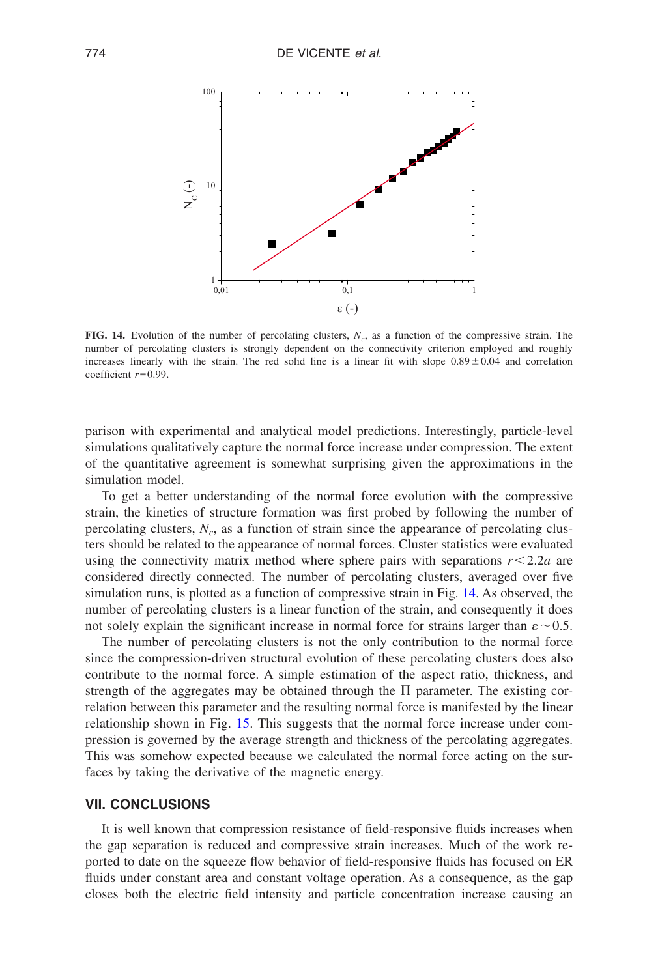<span id="page-21-0"></span>

**FIG. 14.** Evolution of the number of percolating clusters, *Nc*, as a function of the compressive strain. The number of percolating clusters is strongly dependent on the connectivity criterion employed and roughly increases linearly with the strain. The red solid line is a linear fit with slope  $0.89 \pm 0.04$  and correlation coefficient *r*= 0.99.

parison with experimental and analytical model predictions. Interestingly, particle-level simulations qualitatively capture the normal force increase under compression. The extent of the quantitative agreement is somewhat surprising given the approximations in the simulation model.

To get a better understanding of the normal force evolution with the compressive strain, the kinetics of structure formation was first probed by following the number of percolating clusters,  $N_c$ , as a function of strain since the appearance of percolating clusters should be related to the appearance of normal forces. Cluster statistics were evaluated using the connectivity matrix method where sphere pairs with separations  $r < 2.2a$  are considered directly connected. The number of percolating clusters, averaged over five simulation runs, is plotted as a function of compressive strain in Fig. [14.](#page-21-0) As observed, the number of percolating clusters is a linear function of the strain, and consequently it does not solely explain the significant increase in normal force for strains larger than  $\varepsilon \sim 0.5$ .

The number of percolating clusters is not the only contribution to the normal force since the compression-driven structural evolution of these percolating clusters does also contribute to the normal force. A simple estimation of the aspect ratio, thickness, and strength of the aggregates may be obtained through the  $\Pi$  parameter. The existing correlation between this parameter and the resulting normal force is manifested by the linear relationship shown in Fig. [15.](#page-22-0) This suggests that the normal force increase under compression is governed by the average strength and thickness of the percolating aggregates. This was somehow expected because we calculated the normal force acting on the surfaces by taking the derivative of the magnetic energy.

## **VII. CONCLUSIONS**

It is well known that compression resistance of field-responsive fluids increases when the gap separation is reduced and compressive strain increases. Much of the work reported to date on the squeeze flow behavior of field-responsive fluids has focused on ER fluids under constant area and constant voltage operation. As a consequence, as the gap closes both the electric field intensity and particle concentration increase causing an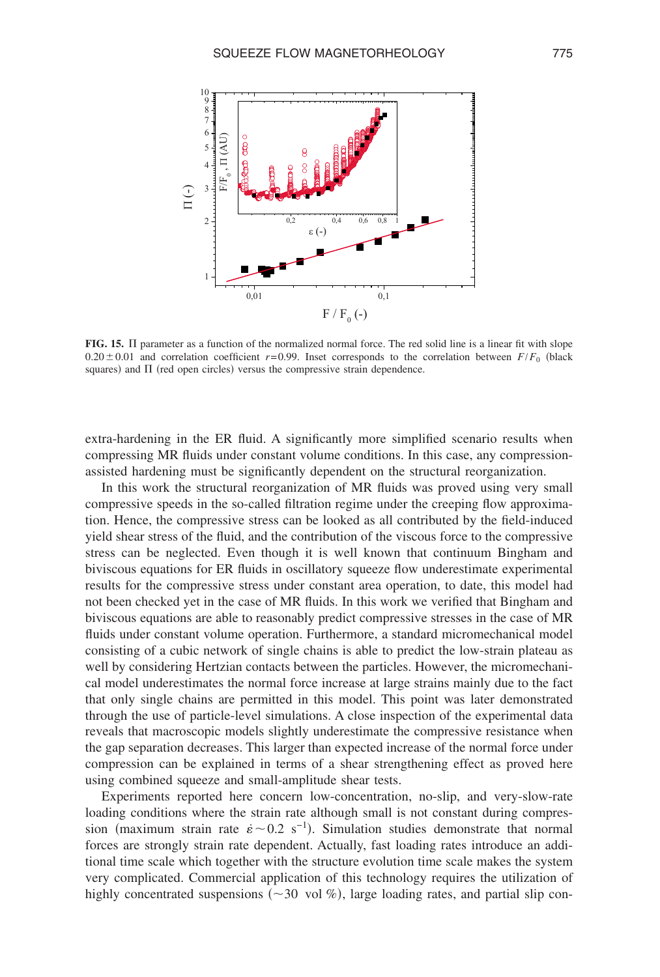<span id="page-22-0"></span>

FIG. 15. II parameter as a function of the normalized normal force. The red solid line is a linear fit with slope  $0.20 \pm 0.01$  and correlation coefficient  $r=0.99$ . Inset corresponds to the correlation between  $F/F_0$  (black squares) and  $\Pi$  (red open circles) versus the compressive strain dependence.

extra-hardening in the ER fluid. A significantly more simplified scenario results when compressing MR fluids under constant volume conditions. In this case, any compressionassisted hardening must be significantly dependent on the structural reorganization.

In this work the structural reorganization of MR fluids was proved using very small compressive speeds in the so-called filtration regime under the creeping flow approximation. Hence, the compressive stress can be looked as all contributed by the field-induced yield shear stress of the fluid, and the contribution of the viscous force to the compressive stress can be neglected. Even though it is well known that continuum Bingham and biviscous equations for ER fluids in oscillatory squeeze flow underestimate experimental results for the compressive stress under constant area operation, to date, this model had not been checked yet in the case of MR fluids. In this work we verified that Bingham and biviscous equations are able to reasonably predict compressive stresses in the case of MR fluids under constant volume operation. Furthermore, a standard micromechanical model consisting of a cubic network of single chains is able to predict the low-strain plateau as well by considering Hertzian contacts between the particles. However, the micromechanical model underestimates the normal force increase at large strains mainly due to the fact that only single chains are permitted in this model. This point was later demonstrated through the use of particle-level simulations. A close inspection of the experimental data reveals that macroscopic models slightly underestimate the compressive resistance when the gap separation decreases. This larger than expected increase of the normal force under compression can be explained in terms of a shear strengthening effect as proved here using combined squeeze and small-amplitude shear tests.

Experiments reported here concern low-concentration, no-slip, and very-slow-rate loading conditions where the strain rate although small is not constant during compression (maximum strain rate  $\dot{\epsilon} \sim 0.2 \text{ s}^{-1}$ ). Simulation studies demonstrate that normal forces are strongly strain rate dependent. Actually, fast loading rates introduce an additional time scale which together with the structure evolution time scale makes the system very complicated. Commercial application of this technology requires the utilization of highly concentrated suspensions ( $\sim$ 30 vol %), large loading rates, and partial slip con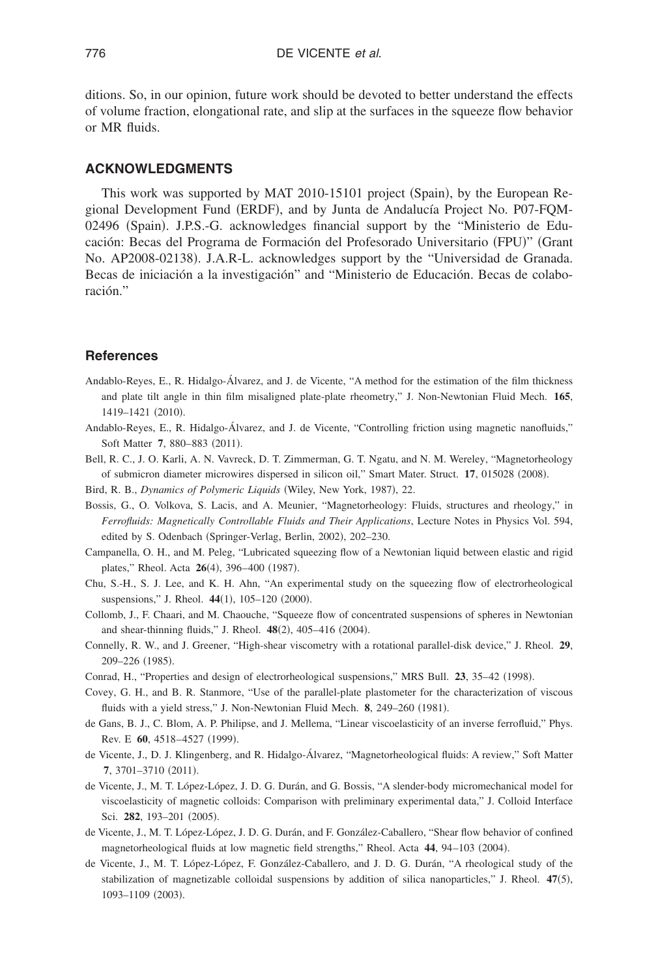ditions. So, in our opinion, future work should be devoted to better understand the effects of volume fraction, elongational rate, and slip at the surfaces in the squeeze flow behavior or MR fluids.

### **ACKNOWLEDGMENTS**

This work was supported by MAT 2010-15101 project (Spain), by the European Regional Development Fund (ERDF), and by Junta de Andalucía Project No. P07-FQM-02496 (Spain). J.P.S.-G. acknowledges financial support by the "Ministerio de Educación: Becas del Programa de Formación del Profesorado Universitario (FPU)" (Grant No. AP2008-02138. J.A.R-L. acknowledges support by the "Universidad de Granada. Becas de iniciación a la investigación" and "Ministerio de Educación. Becas de colaboración."

## <span id="page-23-13"></span><span id="page-23-12"></span><span id="page-23-6"></span>**References**

- <span id="page-23-15"></span>Andablo-Reyes, E., R. Hidalgo-Álvarez, and J. de Vicente, "A method for the estimation of the film thickness and plate tilt angle in thin film misaligned plate-plate rheometry," J. Non-Newtonian Fluid Mech. **165**, 1419-1421 (2010).
- <span id="page-23-0"></span>Andablo-Reyes, E., R. Hidalgo-Álvarez, and J. de Vicente, "Controlling friction using magnetic nanofluids," Soft Matter 7, 880-883 (2011).
- <span id="page-23-10"></span>Bell, R. C., J. O. Karli, A. N. Vavreck, D. T. Zimmerman, G. T. Ngatu, and N. M. Wereley, "Magnetorheology of submicron diameter microwires dispersed in silicon oil," Smart Mater. Struct. 17, 015028 (2008).
- <span id="page-23-7"></span>Bird, R. B., *Dynamics of Polymeric Liquids* (Wiley, New York, 1987), 22.
- <span id="page-23-8"></span>Bossis, G., O. Volkova, S. Lacis, and A. Meunier, "Magnetorheology: Fluids, structures and rheology," in *Ferrofluids: Magnetically Controllable Fluids and Their Applications*, Lecture Notes in Physics Vol. 594, edited by S. Odenbach (Springer-Verlag, Berlin, 2002), 202-230.
- <span id="page-23-14"></span>Campanella, O. H., and M. Peleg, "Lubricated squeezing flow of a Newtonian liquid between elastic and rigid plates," Rheol. Acta **26**(4), 396-400 (1987).
- <span id="page-23-11"></span><span id="page-23-9"></span>Chu, S.-H., S. J. Lee, and K. H. Ahn, "An experimental study on the squeezing flow of electrorheological suspensions," J. Rheol. 44(1), 105-120 (2000).
- <span id="page-23-3"></span>Collomb, J., F. Chaari, and M. Chaouche, "Squeeze flow of concentrated suspensions of spheres in Newtonian and shear-thinning fluids," J. Rheol. 48(2), 405-416 (2004).
- <span id="page-23-1"></span>Connelly, R. W., and J. Greener, "High-shear viscometry with a rotational parallel-disk device," J. Rheol. **29**, 209-226 (1985).
- Conrad, H., "Properties and design of electrorheological suspensions," MRS Bull. 23, 35-42 (1998).
- <span id="page-23-4"></span>Covey, G. H., and B. R. Stanmore, "Use of the parallel-plate plastometer for the characterization of viscous fluids with a yield stress," J. Non-Newtonian Fluid Mech. 8, 249-260 (1981).
- <span id="page-23-5"></span>de Gans, B. J., C. Blom, A. P. Philipse, and J. Mellema, "Linear viscoelasticity of an inverse ferrofluid," Phys. Rev. E 60, 4518-4527 (1999).
- <span id="page-23-2"></span>de Vicente, J., D. J. Klingenberg, and R. Hidalgo-Álvarez, "Magnetorheological fluids: A review," Soft Matter 7, 3701-3710 (2011).
- de Vicente, J., M. T. López-López, J. D. G. Durán, and G. Bossis, "A slender-body micromechanical model for viscoelasticity of magnetic colloids: Comparison with preliminary experimental data," J. Colloid Interface Sci. 282, 193-201 (2005).
- de Vicente, J., M. T. López-López, J. D. G. Durán, and F. González-Caballero, "Shear flow behavior of confined magnetorheological fluids at low magnetic field strengths," Rheol. Acta 44, 94-103 (2004).
- de Vicente, J., M. T. López-López, F. González-Caballero, and J. D. G. Durán, "A rheological study of the stabilization of magnetizable colloidal suspensions by addition of silica nanoparticles," J. Rheol. 47(5), 1093-1109 (2003).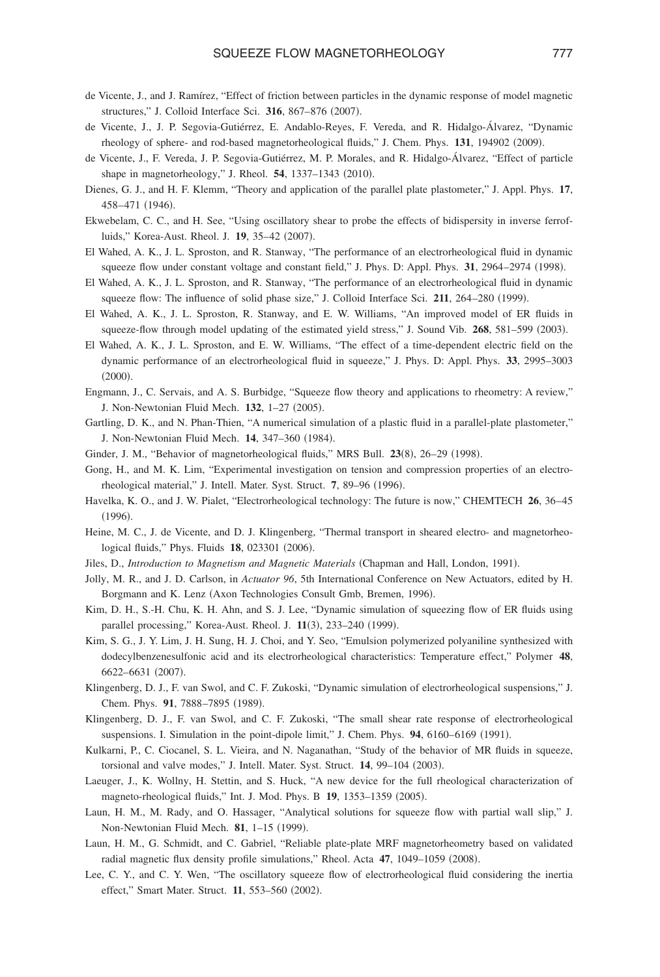- <span id="page-24-17"></span><span id="page-24-6"></span><span id="page-24-5"></span><span id="page-24-1"></span>de Vicente, J., and J. Ramírez, "Effect of friction between particles in the dynamic response of model magnetic structures," J. Colloid Interface Sci. 316, 867-876 (2007).
- <span id="page-24-4"></span>de Vicente, J., J. P. Segovia-Gutiérrez, E. Andablo-Reyes, F. Vereda, and R. Hidalgo-Álvarez, "Dynamic rheology of sphere- and rod-based magnetorheological fluids," J. Chem. Phys. 131, 194902 (2009).
- <span id="page-24-12"></span>de Vicente, J., F. Vereda, J. P. Segovia-Gutiérrez, M. P. Morales, and R. Hidalgo-Álvarez, "Effect of particle shape in magnetorheology," J. Rheol. 54, 1337-1343 (2010).
- <span id="page-24-14"></span>Dienes, G. J., and H. F. Klemm, "Theory and application of the parallel plate plastometer," J. Appl. Phys. **17**, 458–471 (1946).
- <span id="page-24-10"></span>Ekwebelam, C. C., and H. See, "Using oscillatory shear to probe the effects of bidispersity in inverse ferrofluids," Korea-Aust. Rheol. J. 19, 35-42 (2007).
- <span id="page-24-13"></span>El Wahed, A. K., J. L. Sproston, and R. Stanway, "The performance of an electrorheological fluid in dynamic squeeze flow under constant voltage and constant field," J. Phys. D: Appl. Phys. 31, 2964–2974 (1998).
- <span id="page-24-16"></span>El Wahed, A. K., J. L. Sproston, and R. Stanway, "The performance of an electrorheological fluid in dynamic squeeze flow: The influence of solid phase size," J. Colloid Interface Sci. 211, 264–280 (1999).
- <span id="page-24-8"></span>El Wahed, A. K., J. L. Sproston, R. Stanway, and E. W. Williams, "An improved model of ER fluids in squeeze-flow through model updating of the estimated yield stress," J. Sound Vib. 268, 581-599 (2003).
- <span id="page-24-0"></span>El Wahed, A. K., J. L. Sproston, and E. W. Williams, "The effect of a time-dependent electric field on the dynamic performance of an electrorheological fluid in squeeze," J. Phys. D: Appl. Phys. **33**, 2995–3003  $(2000).$
- <span id="page-24-7"></span><span id="page-24-3"></span>Engmann, J., C. Servais, and A. S. Burbidge, "Squeeze flow theory and applications to rheometry: A review," J. Non-Newtonian Fluid Mech. 132, 1-27 (2005).
- <span id="page-24-23"></span>Gartling, D. K., and N. Phan-Thien, "A numerical simulation of a plastic fluid in a parallel-plate plastometer," J. Non-Newtonian Fluid Mech. 14, 347-360 (1984).
- Ginder, J. M., "Behavior of magnetorheological fluids," MRS Bull. 23(8), 26-29 (1998).
- <span id="page-24-24"></span><span id="page-24-2"></span>Gong, H., and M. K. Lim, "Experimental investigation on tension and compression properties of an electrorheological material," J. Intell. Mater. Syst. Struct. 7, 89-96 (1996).
- <span id="page-24-11"></span>Havelka, K. O., and J. W. Pialet, "Electrorheological technology: The future is now," CHEMTECH **26**, 36–45  $(1996).$
- <span id="page-24-25"></span>Heine, M. C., J. de Vicente, and D. J. Klingenberg, "Thermal transport in sheared electro- and magnetorheological fluids," Phys. Fluids 18, 023301 (2006).
- Jiles, D., *Introduction to Magnetism and Magnetic Materials* (Chapman and Hall, London, 1991).
- <span id="page-24-21"></span>Jolly, M. R., and J. D. Carlson, in *Actuator 96*, 5th International Conference on New Actuators, edited by H. Borgmann and K. Lenz (Axon Technologies Consult Gmb, Bremen, 1996).
- <span id="page-24-22"></span>Kim, D. H., S.-H. Chu, K. H. Ahn, and S. J. Lee, "Dynamic simulation of squeezing flow of ER fluids using parallel processing," Korea-Aust. Rheol. J. 11(3), 233-240 (1999).
- <span id="page-24-15"></span>Kim, S. G., J. Y. Lim, J. H. Sung, H. J. Choi, and Y. Seo, "Emulsion polymerized polyaniline synthesized with dodecylbenzenesulfonic acid and its electrorheological characteristics: Temperature effect," Polymer **48**, 6622-6631 (2007).
- <span id="page-24-19"></span>Klingenberg, D. J., F. van Swol, and C. F. Zukoski, "Dynamic simulation of electrorheological suspensions," J. Chem. Phys. 91, 7888-7895 (1989).
- <span id="page-24-18"></span>Klingenberg, D. J., F. van Swol, and C. F. Zukoski, "The small shear rate response of electrorheological suspensions. I. Simulation in the point-dipole limit," J. Chem. Phys. 94, 6160-6169 (1991).
- <span id="page-24-20"></span>Kulkarni, P., C. Ciocanel, S. L. Vieira, and N. Naganathan, "Study of the behavior of MR fluids in squeeze, torsional and valve modes," J. Intell. Mater. Syst. Struct. 14, 99-104 (2003).
- <span id="page-24-9"></span>Laeuger, J., K. Wollny, H. Stettin, and S. Huck, "A new device for the full rheological characterization of magneto-rheological fluids," Int. J. Mod. Phys. B 19, 1353-1359 (2005).
- Laun, H. M., M. Rady, and O. Hassager, "Analytical solutions for squeeze flow with partial wall slip," J. Non-Newtonian Fluid Mech. 81, 1-15 (1999).
- Laun, H. M., G. Schmidt, and C. Gabriel, "Reliable plate-plate MRF magnetorheometry based on validated radial magnetic flux density profile simulations," Rheol. Acta 47, 1049-1059 (2008).
- Lee, C. Y., and C. Y. Wen, "The oscillatory squeeze flow of electrorheological fluid considering the inertia effect," Smart Mater. Struct. 11, 553-560 (2002).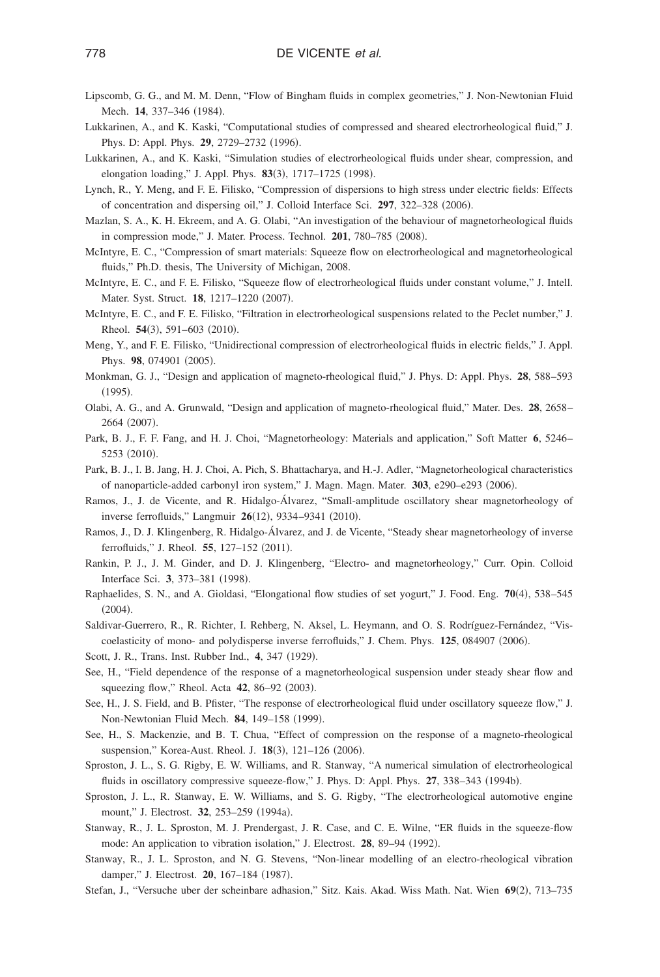- <span id="page-25-26"></span><span id="page-25-18"></span><span id="page-25-15"></span><span id="page-25-14"></span>Lipscomb, G. G., and M. M. Denn, "Flow of Bingham fluids in complex geometries," J. Non-Newtonian Fluid Mech. **14**, 337-346 (1984).
- <span id="page-25-21"></span>Lukkarinen, A., and K. Kaski, "Computational studies of compressed and sheared electrorheological fluid," J. Phys. D: Appl. Phys. 29, 2729-2732 (1996).
- <span id="page-25-24"></span>Lukkarinen, A., and K. Kaski, "Simulation studies of electrorheological fluids under shear, compression, and elongation loading," J. Appl. Phys. 83(3), 1717-1725 (1998).
- <span id="page-25-17"></span>Lynch, R., Y. Meng, and F. E. Filisko, "Compression of dispersions to high stress under electric fields: Effects of concentration and dispersing oil," J. Colloid Interface Sci. 297, 322-328 (2006).
- <span id="page-25-7"></span>Mazlan, S. A., K. H. Ekreem, and A. G. Olabi, "An investigation of the behaviour of magnetorheological fluids in compression mode," J. Mater. Process. Technol. 201, 780-785 (2008).
- <span id="page-25-13"></span>McIntyre, E. C., "Compression of smart materials: Squeeze flow on electrorheological and magnetorheological fluids," Ph.D. thesis, The University of Michigan, 2008.
- <span id="page-25-9"></span>McIntyre, E. C., and F. E. Filisko, "Squeeze flow of electrorheological fluids under constant volume," J. Intell. Mater. Syst. Struct. 18, 1217-1220 (2007).
- <span id="page-25-2"></span>McIntyre, E. C., and F. E. Filisko, "Filtration in electrorheological suspensions related to the Peclet number," J. Rheol. **54**(3), 591-603 (2010).
- <span id="page-25-1"></span>Meng, Y., and F. E. Filisko, "Unidirectional compression of electrorheological fluids in electric fields," J. Appl. Phys. 98, 074901 (2005).
- <span id="page-25-5"></span>Monkman, G. J., "Design and application of magneto-rheological fluid," J. Phys. D: Appl. Phys. **28**, 588–593  $(1995).$
- <span id="page-25-4"></span>Olabi, A. G., and A. Grunwald, "Design and application of magneto-rheological fluid," Mater. Des. **28**, 2658– 2664 (2007).
- <span id="page-25-6"></span>Park, B. J., F. F. Fang, and H. J. Choi, "Magnetorheology: Materials and application," Soft Matter **6**, 5246– 5253 (2010).
- <span id="page-25-0"></span>Park, B. J., I. B. Jang, H. J. Choi, A. Pich, S. Bhattacharya, and H.-J. Adler, "Magnetorheological characteristics of nanoparticle-added carbonyl iron system," J. Magn. Magn. Mater. 303, e290-e293 (2006).
- <span id="page-25-23"></span>Ramos, J., J. de Vicente, and R. Hidalgo-Álvarez, "Small-amplitude oscillatory shear magnetorheology of inverse ferrofluids," Langmuir 26(12), 9334-9341 (2010).
- <span id="page-25-3"></span>Ramos, J., D. J. Klingenberg, R. Hidalgo-Álvarez, and J. de Vicente, "Steady shear magnetorheology of inverse ferrofluids," J. Rheol. 55, 127-152 (2011).
- <span id="page-25-25"></span><span id="page-25-20"></span>Rankin, P. J., J. M. Ginder, and D. J. Klingenberg, "Electro- and magnetorheology," Curr. Opin. Colloid Interface Sci. 3, 373-381 (1998).
- <span id="page-25-16"></span>Raphaelides, S. N., and A. Gioldasi, "Elongational flow studies of set yogurt," J. Food. Eng. 70(4), 538-545  $(2004).$
- <span id="page-25-19"></span>Saldivar-Guerrero, R., R. Richter, I. Rehberg, N. Aksel, L. Heymann, and O. S. Rodríguez-Fernández, "Viscoelasticity of mono- and polydisperse inverse ferrofluids," J. Chem. Phys. 125, 084907 (2006).
- Scott, J. R., Trans. Inst. Rubber Ind., 4, 347 (1929).
- <span id="page-25-12"></span>See, H., "Field dependence of the response of a magnetorheological suspension under steady shear flow and squeezing flow," Rheol. Acta 42, 86-92 (2003).
- <span id="page-25-11"></span>See, H., J. S. Field, and B. Pfister, "The response of electrorheological fluid under oscillatory squeeze flow," J. Non-Newtonian Fluid Mech. 84, 149-158 (1999).
- <span id="page-25-10"></span>See, H., S. Mackenzie, and B. T. Chua, "Effect of compression on the response of a magneto-rheological suspension," Korea-Aust. Rheol. J. 18(3), 121-126 (2006).
- <span id="page-25-8"></span>Sproston, J. L., S. G. Rigby, E. W. Williams, and R. Stanway, "A numerical simulation of electrorheological fluids in oscillatory compressive squeeze-flow," J. Phys. D: Appl. Phys. 27, 338-343 (1994b).
- <span id="page-25-22"></span>Sproston, J. L., R. Stanway, E. W. Williams, and S. G. Rigby, "The electrorheological automotive engine mount," J. Electrost. 32, 253-259 (1994a).
- Stanway, R., J. L. Sproston, M. J. Prendergast, J. R. Case, and C. E. Wilne, "ER fluids in the squeeze-flow mode: An application to vibration isolation," J. Electrost. 28, 89-94 (1992).
- Stanway, R., J. L. Sproston, and N. G. Stevens, "Non-linear modelling of an electro-rheological vibration damper," J. Electrost. 20, 167-184 (1987).
- Stefan, J., "Versuche uber der scheinbare adhasion," Sitz. Kais. Akad. Wiss Math. Nat. Wien 69(2), 713-735